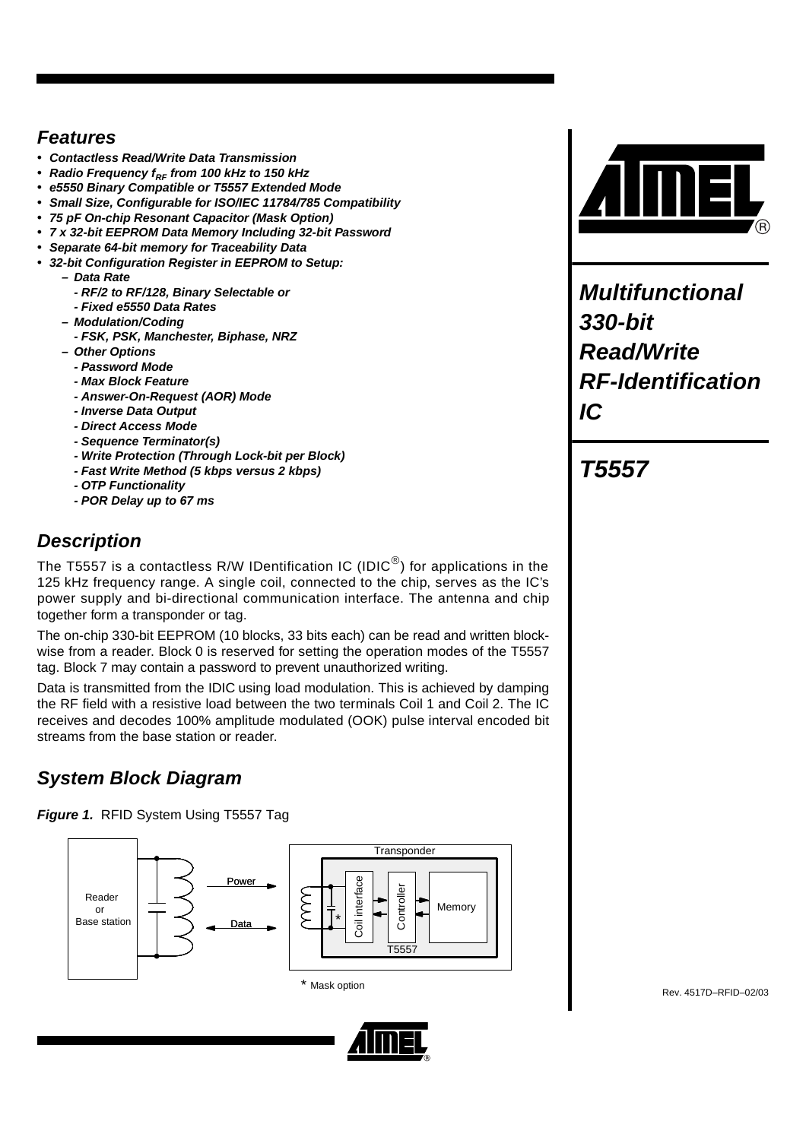## *Features*

- *Contactless Read/Write Data Transmission*
- Radio Frequency f<sub>RF</sub> from 100 kHz to 150 kHz
- *e5550 Binary Compatible or T5557 Extended Mode*
- *Small Size, Configurable for ISO/IEC 11784/785 Compatibility*
- *75 pF On-chip Resonant Capacitor (Mask Option)*
- *7 x 32-bit EEPROM Data Memory Including 32-bit Password*
- *Separate 64-bit memory for Traceability Data*
- *32-bit Configuration Register in EEPROM to Setup:*
	- *Data Rate*
	- *RF/2 to RF/128, Binary Selectable or*
	- *Fixed e5550 Data Rates*
	- *Modulation/Coding*
		- *FSK, PSK, Manchester, Biphase, NRZ*
	- *Other Options*
		- *Password Mode*
		- *Max Block Feature*
		- *Answer-On-Request (AOR) Mode*
		- *Inverse Data Output*
		- *Direct Access Mode*
		- *Sequence Terminator(s)*
		- *Write Protection (Through Lock-bit per Block)*
		- *Fast Write Method (5 kbps versus 2 kbps)*
		- *OTP Functionality*
		- *POR Delay up to 67 ms*

# *Description*

The T5557 is a contactless R/W IDentification IC (IDIC $^{\circledR}$ ) for applications in the 125 kHz frequency range. A single coil, connected to the chip, serves as the IC's power supply and bi-directional communication interface. The antenna and chip together form a transponder or tag.

The on-chip 330-bit EEPROM (10 blocks, 33 bits each) can be read and written blockwise from a reader. Block 0 is reserved for setting the operation modes of the T5557 tag. Block 7 may contain a password to prevent unauthorized writing.

Data is transmitted from the IDIC using load modulation. This is achieved by damping the RF field with a resistive load between the two terminals Coil 1 and Coil 2. The IC receives and decodes 100% amplitude modulated (OOK) pulse interval encoded bit streams from the base station or reader.

# *System Block Diagram*

*Figure 1.* RFID System Using T5557 Tag





*Multifunctional 330-bit Read/Write RF-Identification IC*

# *T5557*

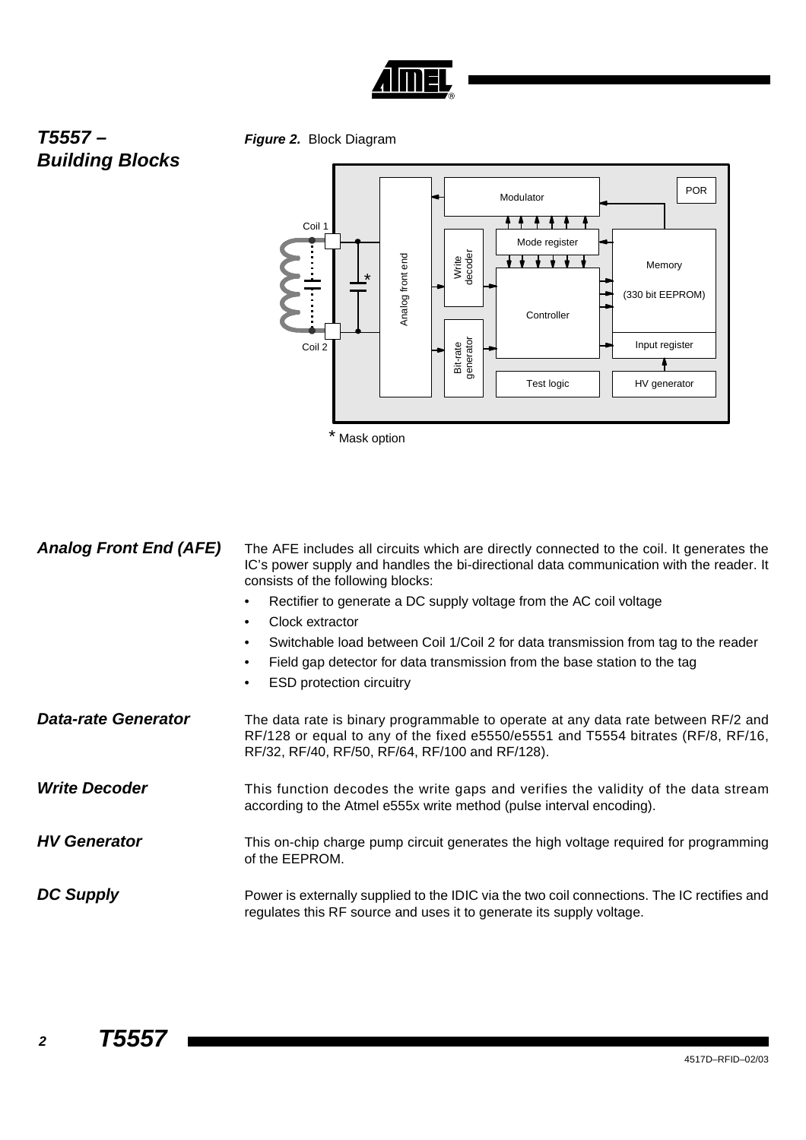

# *T5557 – Building Blocks*

*Figure 2.* Block Diagram



| <b>Analog Front End (AFE)</b> | The AFE includes all circuits which are directly connected to the coil. It generates the<br>IC's power supply and handles the bi-directional data communication with the reader. It<br>consists of the following blocks: |
|-------------------------------|--------------------------------------------------------------------------------------------------------------------------------------------------------------------------------------------------------------------------|
|                               | Rectifier to generate a DC supply voltage from the AC coil voltage<br>Clock extractor<br>$\bullet$                                                                                                                       |
|                               | Switchable load between Coil 1/Coil 2 for data transmission from tag to the reader<br>$\bullet$<br>Field gap detector for data transmission from the base station to the tag<br><b>ESD protection circuitry</b><br>٠     |
| <b>Data-rate Generator</b>    | The data rate is binary programmable to operate at any data rate between RF/2 and<br>RF/128 or equal to any of the fixed e5550/e5551 and T5554 bitrates (RF/8, RF/16,<br>RF/32, RF/40, RF/50, RF/64, RF/100 and RF/128). |
| <b>Write Decoder</b>          | This function decodes the write gaps and verifies the validity of the data stream<br>according to the Atmel e555x write method (pulse interval encoding).                                                                |
| <b>HV Generator</b>           | This on-chip charge pump circuit generates the high voltage required for programming<br>of the EEPROM.                                                                                                                   |
| <b>DC Supply</b>              | Power is externally supplied to the IDIC via the two coil connections. The IC rectifies and<br>regulates this RF source and uses it to generate its supply voltage.                                                      |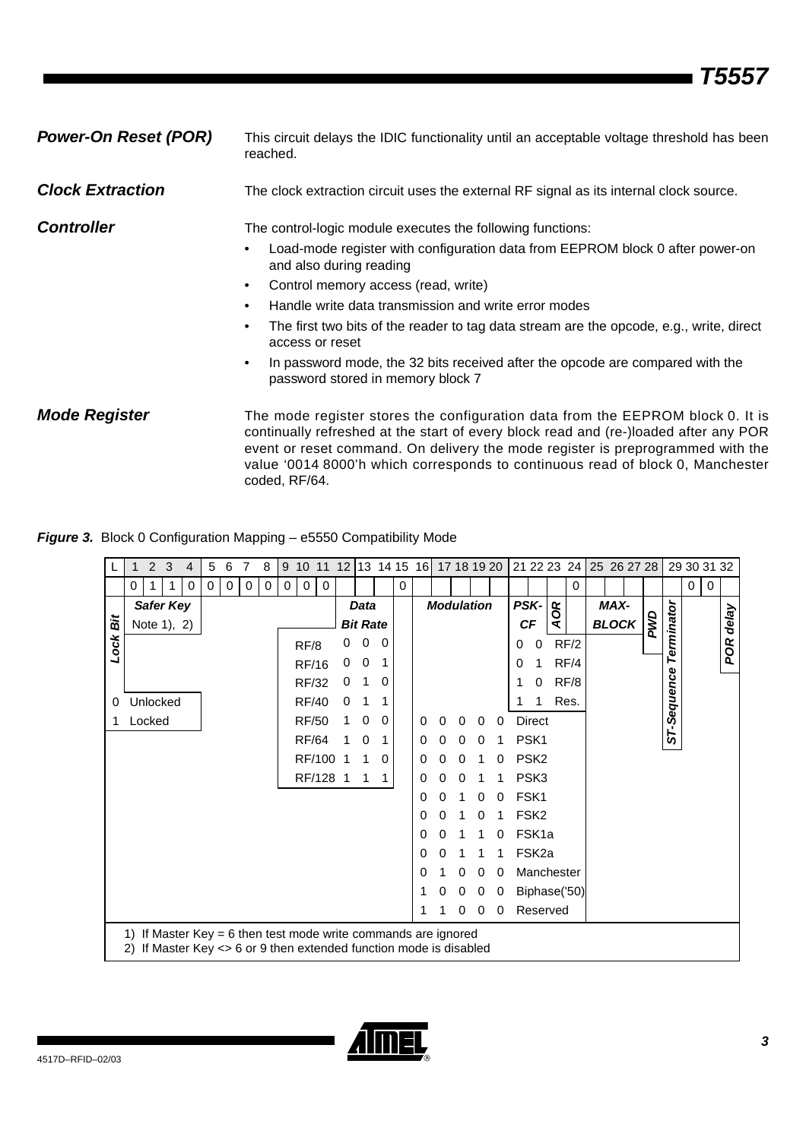| <b>Power-On Reset (POR)</b> | This circuit delays the IDIC functionality until an acceptable voltage threshold has been<br>reached.                                                                                                                                                                                                                                                                                                                                                                                                                                 |
|-----------------------------|---------------------------------------------------------------------------------------------------------------------------------------------------------------------------------------------------------------------------------------------------------------------------------------------------------------------------------------------------------------------------------------------------------------------------------------------------------------------------------------------------------------------------------------|
| <b>Clock Extraction</b>     | The clock extraction circuit uses the external RF signal as its internal clock source.                                                                                                                                                                                                                                                                                                                                                                                                                                                |
| <b>Controller</b>           | The control-logic module executes the following functions:<br>Load-mode register with configuration data from EEPROM block 0 after power-on<br>and also during reading<br>Control memory access (read, write)<br>٠<br>Handle write data transmission and write error modes<br>٠<br>The first two bits of the reader to tag data stream are the opcode, e.g., write, direct<br>٠<br>access or reset<br>In password mode, the 32 bits received after the opcode are compared with the<br>$\bullet$<br>password stored in memory block 7 |
| <b>Mode Register</b>        | The mode register stores the configuration data from the EEPROM block 0. It is<br>continually refreshed at the start of every block read and (re-)loaded after any POR<br>event or reset command. On delivery the mode register is preprogrammed with the<br>value '0014 8000'h which corresponds to continuous read of block 0, Manchester<br>coded, RF/64.                                                                                                                                                                          |

## *Figure 3.* Block 0 Configuration Mapping – e5550 Compatibility Mode

|      |    | $\overline{2}$                                                                                                                        | 3 | 4 | 5        | 6           | 7 | 8 | 9        | 10           | 11          | 12 |                 |   |   | 13 14 15 16 17 18 19 20 |   |                   |          |   |   |                   | 21 22 23 24           |      | 25 26 27 28  |      |   |             | 29 30 31 32 |   |       |
|------|----|---------------------------------------------------------------------------------------------------------------------------------------|---|---|----------|-------------|---|---|----------|--------------|-------------|----|-----------------|---|---|-------------------------|---|-------------------|----------|---|---|-------------------|-----------------------|------|--------------|------|---|-------------|-------------|---|-------|
|      |    | 0<br>1                                                                                                                                | 1 | 0 | $\Omega$ | $\mathbf 0$ | 0 | 0 | $\Omega$ | $\Omega$     | $\mathbf 0$ |    |                 |   | 0 |                         |   |                   |          |   |   |                   |                       | 0    |              |      |   |             | 0           | 0 |       |
|      |    | <b>Safer Key</b>                                                                                                                      |   |   |          |             |   |   |          |              |             |    | <b>Data</b>     |   |   |                         |   | <b>Modulation</b> |          |   |   | <b>PSK-</b>       | $\boldsymbol{\alpha}$ |      |              | MAX- |   |             |             |   |       |
| 氙    |    | Note 1), 2)                                                                                                                           |   |   |          |             |   |   |          |              |             |    | <b>Bit Rate</b> |   |   |                         |   |                   |          |   |   | <b>CF</b>         | Q                     |      | <b>BLOCK</b> |      | Š |             |             |   | delay |
| Lock |    |                                                                                                                                       |   |   |          |             |   |   |          | RF/8         |             | 0  | 0               | 0 |   |                         |   |                   |          |   | 0 | 0                 |                       | RF/2 |              |      |   | Terminator  |             |   | POR   |
|      |    |                                                                                                                                       |   |   |          |             |   |   |          | <b>RF/16</b> |             | 0  | 0               |   |   |                         |   |                   |          |   | 0 | 1                 |                       | RF/4 |              |      |   |             |             |   |       |
|      |    |                                                                                                                                       |   |   |          |             |   |   |          | <b>RF/32</b> |             | 0  | 1               | 0 |   |                         |   |                   |          |   |   | 0                 |                       | RF/8 |              |      |   |             |             |   |       |
| 0    |    | Unlocked                                                                                                                              |   |   |          |             |   |   |          | <b>RF/40</b> |             | 0  | 1               | 1 |   |                         |   |                   |          |   |   | 1                 |                       | Res. |              |      |   |             |             |   |       |
|      |    | Locked                                                                                                                                |   |   |          |             |   |   |          | <b>RF/50</b> |             |    | 0               | 0 |   | $\Omega$                | 0 | 0                 | $\Omega$ | 0 |   | <b>Direct</b>     |                       |      |              |      |   | ST-Sequence |             |   |       |
|      |    |                                                                                                                                       |   |   |          |             |   |   |          | <b>RF/64</b> |             |    | 0               | 1 |   | 0                       | Ω | O                 | 0        |   |   | PSK <sub>1</sub>  |                       |      |              |      |   |             |             |   |       |
|      |    |                                                                                                                                       |   |   |          |             |   |   |          | RF/100       |             |    |                 | 0 |   | 0                       |   |                   |          | 0 |   | PSK <sub>2</sub>  |                       |      |              |      |   |             |             |   |       |
|      |    |                                                                                                                                       |   |   |          |             |   |   |          | RF/128       |             | -1 | 1               | 1 |   | O)                      |   | 0                 |          |   |   | PSK <sub>3</sub>  |                       |      |              |      |   |             |             |   |       |
|      |    |                                                                                                                                       |   |   |          |             |   |   |          |              |             |    |                 |   |   | 0                       | O |                   | 0        | 0 |   | FSK1              |                       |      |              |      |   |             |             |   |       |
|      |    |                                                                                                                                       |   |   |          |             |   |   |          |              |             |    |                 |   |   | 0                       |   |                   | 0        |   |   | FSK <sub>2</sub>  |                       |      |              |      |   |             |             |   |       |
|      |    |                                                                                                                                       |   |   |          |             |   |   |          |              |             |    |                 |   |   | 0                       |   |                   |          | 0 |   | FSK <sub>1a</sub> |                       |      |              |      |   |             |             |   |       |
|      |    |                                                                                                                                       |   |   |          |             |   |   |          |              |             |    |                 |   |   | 0                       |   |                   |          |   |   | FSK <sub>2a</sub> |                       |      |              |      |   |             |             |   |       |
|      |    |                                                                                                                                       |   |   |          |             |   |   |          |              |             |    |                 |   |   | 0                       |   | 0                 | 0        | 0 |   |                   | Manchester            |      |              |      |   |             |             |   |       |
|      |    |                                                                                                                                       |   |   |          |             |   |   |          |              |             |    |                 |   |   |                         |   | 0                 | 0        | 0 |   |                   | Biphase('50)          |      |              |      |   |             |             |   |       |
|      |    |                                                                                                                                       |   |   |          |             |   |   |          |              |             |    |                 |   |   | 1                       |   | 0                 | 0        | 0 |   |                   | Reserved              |      |              |      |   |             |             |   |       |
|      | 2) | 1) If Master Key = 6 then test mode write commands are ignored<br>If Master Key $\leq$ 6 or 9 then extended function mode is disabled |   |   |          |             |   |   |          |              |             |    |                 |   |   |                         |   |                   |          |   |   |                   |                       |      |              |      |   |             |             |   |       |

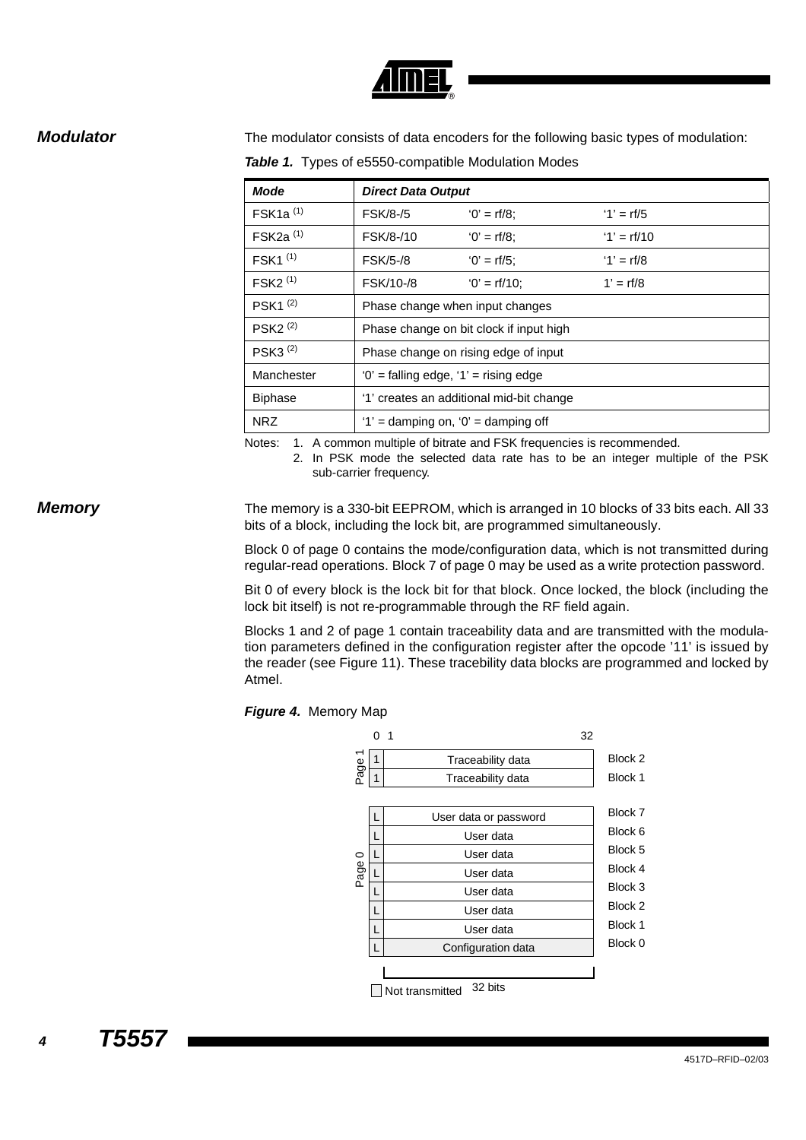

**Modulator** The modulator consists of data encoders for the following basic types of modulation:

*Table 1.* Types of e5550-compatible Modulation Modes

| <b>Mode</b>                        | <b>Direct Data Output</b>                 |                                         |               |  |  |  |  |  |  |  |
|------------------------------------|-------------------------------------------|-----------------------------------------|---------------|--|--|--|--|--|--|--|
| $FSK1a$ <sup>(1)</sup>             | <b>FSK/8-/5</b>                           | $'0' = rf/8$ :                          | $'1' = rf/5$  |  |  |  |  |  |  |  |
| $FSK2a$ <sup>(1)</sup>             | FSK/8-/10                                 | $'0' = rf/8$ :                          | $'1' = rf/10$ |  |  |  |  |  |  |  |
| $FSK1$ $(1)$                       | <b>FSK/5-/8</b>                           | $'0' = rf/5$ :                          | $'1' = rf/8$  |  |  |  |  |  |  |  |
| $FSK2$ <sup><math>(1)</math></sup> | FSK/10-/8                                 | $'0' = rf/10$ ;                         | $1' = rf/8$   |  |  |  |  |  |  |  |
| PSK <sub>1</sub> <sup>(2)</sup>    | Phase change when input changes           |                                         |               |  |  |  |  |  |  |  |
| PSK <sub>2<math>(2)</math></sub>   |                                           | Phase change on bit clock if input high |               |  |  |  |  |  |  |  |
| PSK3 $(2)$                         |                                           | Phase change on rising edge of input    |               |  |  |  |  |  |  |  |
| Manchester                         | $'0'$ = falling edge, $'1'$ = rising edge |                                         |               |  |  |  |  |  |  |  |
| <b>Biphase</b>                     | '1' creates an additional mid-bit change  |                                         |               |  |  |  |  |  |  |  |
| NRZ                                | $'1'$ = damping on, $'0'$ = damping off   |                                         |               |  |  |  |  |  |  |  |

Notes: 1. A common multiple of bitrate and FSK frequencies is recommended.

2. In PSK mode the selected data rate has to be an integer multiple of the PSK sub-carrier frequency.

**Memory** The memory is a 330-bit EEPROM, which is arranged in 10 blocks of 33 bits each. All 33 bits of a block, including the lock bit, are programmed simultaneously.

> Block 0 of page 0 contains the mode/configuration data, which is not transmitted during regular-read operations. Block 7 of page 0 may be used as a write protection password.

> Bit 0 of every block is the lock bit for that block. Once locked, the block (including the lock bit itself) is not re-programmable through the RF field again.

> Blocks 1 and 2 of page 1 contain traceability data and are transmitted with the modulation parameters defined in the configuration register after the opcode '11' is issued by the reader (see [Figure 11\)](#page-8-0). These tracebility data blocks are programmed and locked by Atmel.

### *Figure 4.* Memory Map

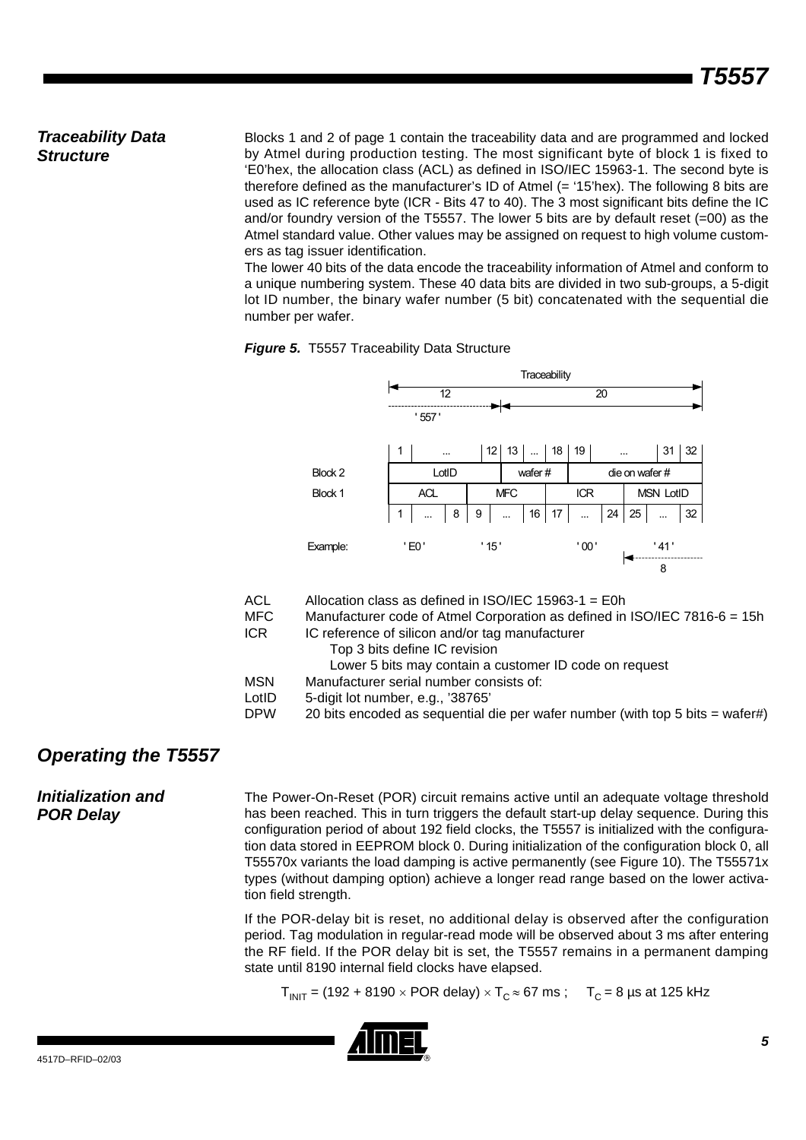## *Traceability Data Structure*

Blocks 1 and 2 of page 1 contain the traceability data and are programmed and locked by Atmel during production testing. The most significant byte of block 1 is fixed to 'E0'hex, the allocation class (ACL) as defined in ISO/IEC 15963-1. The second byte is therefore defined as the manufacturer's ID of Atmel (= '15'hex). The following 8 bits are used as IC reference byte (ICR - Bits 47 to 40). The 3 most significant bits define the IC and/or foundry version of the T5557. The lower 5 bits are by default reset  $(=00)$  as the Atmel standard value. Other values may be assigned on request to high volume customers as tag issuer identification.

The lower 40 bits of the data encode the traceability information of Atmel and conform to a unique numbering system. These 40 data bits are divided in two sub-groups, a 5-digit lot ID number, the binary wafer number (5 bit) concatenated with the sequential die number per wafer.





| ACL   | Allocation class as defined in $ISO/IEC$ 15963-1 = E0h                        |
|-------|-------------------------------------------------------------------------------|
| MFC.  | Manufacturer code of Atmel Corporation as defined in ISO/IEC 7816-6 = 15h     |
| ICR.  | IC reference of silicon and/or tag manufacturer                               |
|       | Top 3 bits define IC revision                                                 |
|       | Lower 5 bits may contain a customer ID code on request                        |
| MSN   | Manufacturer serial number consists of:                                       |
| LotID | 5-digit lot number, e.g., '38765'                                             |
| DPW   | 20 bits encoded as sequential die per wafer number (with top 5 bits = wafer#) |

## *Operating the T5557*

## *Initialization and POR Delay*

The Power-On-Reset (POR) circuit remains active until an adequate voltage threshold has been reached. This in turn triggers the default start-up delay sequence. During this configuration period of about 192 field clocks, the T5557 is initialized with the configuration data stored in EEPROM block 0. During initialization of the configuration block 0, all T55570x variants the load damping is active permanently (see [Figure 10\)](#page-8-1). The T55571x types (without damping option) achieve a longer read range based on the lower activation field strength.

If the POR-delay bit is reset, no additional delay is observed after the configuration period. Tag modulation in regular-read mode will be observed about 3 ms after entering the RF field. If the POR delay bit is set, the T5557 remains in a permanent damping state until 8190 internal field clocks have elapsed.

 $T_{\text{INIT}}$  = (192 + 8190  $\times$  POR delay)  $\times$   $T_{\text{C}}$   $\approx$  67 ms ;  $T_{\text{C}}$  = 8 µs at 125 kHz

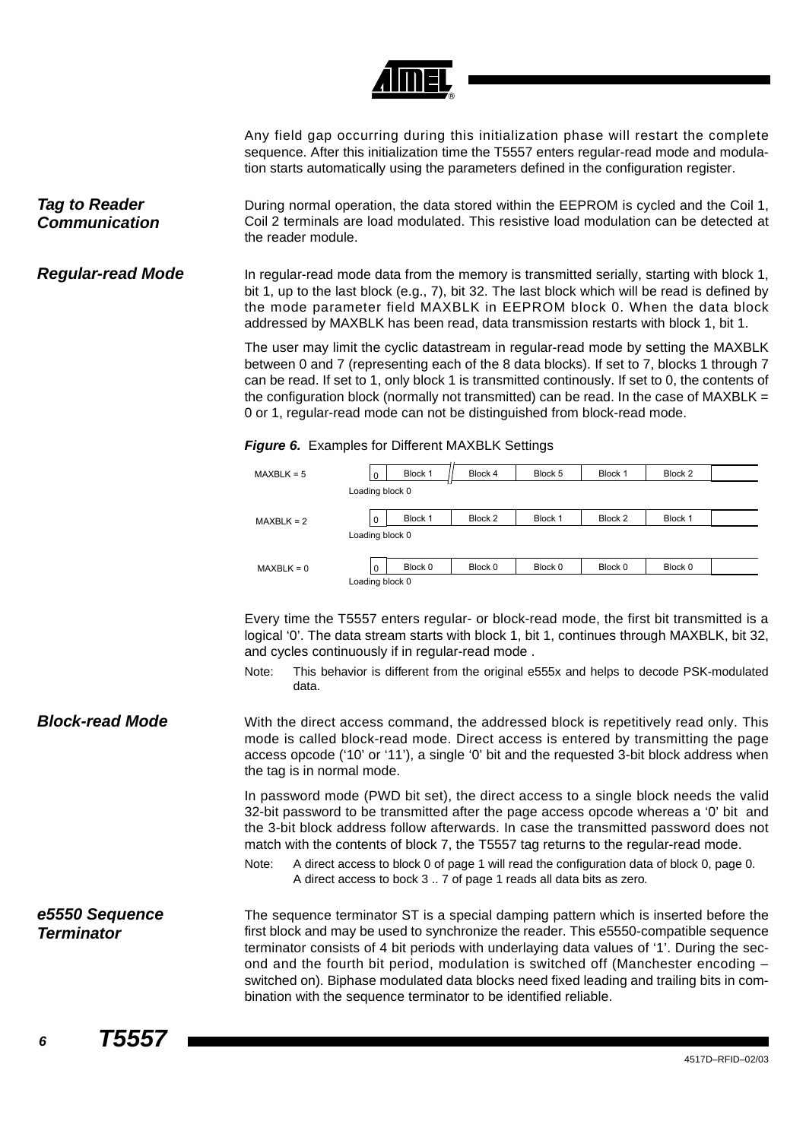

Any field gap occurring during this initialization phase will restart the complete sequence. After this initialization time the T5557 enters regular-read mode and modulation starts automatically using the parameters defined in the configuration register.

*Tag to Reader Communication* During normal operation, the data stored within the EEPROM is cycled and the Coil 1, Coil 2 terminals are load modulated. This resistive load modulation can be detected at the reader module.

**Regular-read Mode** In regular-read mode data from the memory is transmitted serially, starting with block 1, bit 1, up to the last block (e.g., 7), bit 32. The last block which will be read is defined by the mode parameter field MAXBLK in EEPROM block 0. When the data block addressed by MAXBLK has been read, data transmission restarts with block 1, bit 1.

> The user may limit the cyclic datastream in regular-read mode by setting the MAXBLK between 0 and 7 (representing each of the 8 data blocks). If set to 7, blocks 1 through 7 can be read. If set to 1, only block 1 is transmitted continously. If set to 0, the contents of the configuration block (normally not transmitted) can be read. In the case of MAXBLK = 0 or 1, regular-read mode can not be distinguished from block-read mode.

| <b>Figure 6.</b> Examples for Different MAADLK Settings |                 |         |         |         |         |         |
|---------------------------------------------------------|-----------------|---------|---------|---------|---------|---------|
| $MAXBLK = 5$                                            | $\Omega$        | Block 1 | Block 4 | Block 5 | Block 1 | Block 2 |
|                                                         | Loading block 0 |         |         |         |         |         |
| $MAXBLK = 2$                                            | $\mathbf 0$     | Block 1 | Block 2 | Block 1 | Block 2 | Block 1 |
|                                                         | Loading block 0 |         |         |         |         |         |
|                                                         |                 |         |         |         |         |         |

## *Figure 6.* Examples for Different MAXBLK Settings

 $|0|$ 

 $MAXBLK = 0$ Loading block 0

Every time the T5557 enters regular- or block-read mode, the first bit transmitted is a logical '0'. The data stream starts with block 1, bit 1, continues through MAXBLK, bit 32, and cycles continuously if in regular-read mode .

Block 0 | Block 0 | Block 0 | Block 0 | Block 0

- Note: This behavior is different from the original e555x and helps to decode PSK-modulated data.
- **Block-read Mode** With the direct access command, the addressed block is repetitively read only. This mode is called block-read mode. Direct access is entered by transmitting the page access opcode ('10' or '11'), a single '0' bit and the requested 3-bit block address when the tag is in normal mode.

In password mode (PWD bit set), the direct access to a single block needs the valid 32-bit password to be transmitted after the page access opcode whereas a '0' bit and the 3-bit block address follow afterwards. In case the transmitted password does not match with the contents of block 7, the T5557 tag returns to the regular-read mode.

Note: A direct access to block 0 of page 1 will read the configuration data of block 0, page 0. A direct access to bock 3 .. 7 of page 1 reads all data bits as zero.

*e5550 Sequence Terminator* The sequence terminator ST is a special damping pattern which is inserted before the first block and may be used to synchronize the reader. This e5550-compatible sequence terminator consists of 4 bit periods with underlaying data values of '1'. During the second and the fourth bit period, modulation is switched off (Manchester encoding – switched on). Biphase modulated data blocks need fixed leading and trailing bits in combination with the sequence terminator to be identified reliable.

*<sup>6</sup> T5557*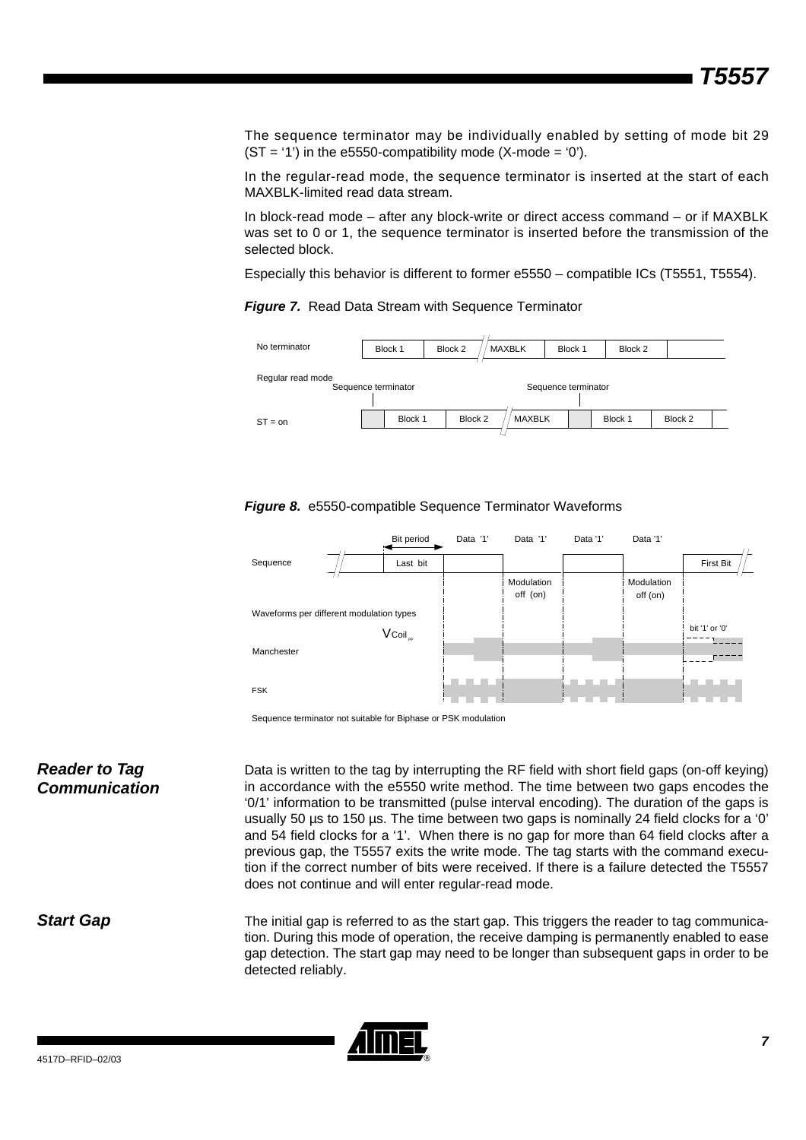The sequence terminator may be individually enabled by setting of mode bit 29  $(ST = '1')$  in the e5550-compatibility mode  $(X\text{-mode} = '0')$ .

In the regular-read mode, the sequence terminator is inserted at the start of each MAXBLK-limited read data stream.

In block-read mode – after any block-write or direct access command – or if MAXBLK was set to 0 or 1, the sequence terminator is inserted before the transmission of the selected block.

Especially this behavior is different to former e5550 – compatible ICs (T5551, T5554).





<span id="page-6-0"></span>



Sequence terminator not suitable for Biphase or PSK modulation

*Reader to Tag Communication* Data is written to the tag by interrupting the RF field with short field gaps (on-off keying) in accordance with the e5550 write method. The time between two gaps encodes the '0/1' information to be transmitted (pulse interval encoding). The duration of the gaps is usually 50 µs to 150 µs. The time between two gaps is nominally 24 field clocks for a '0' and 54 field clocks for a '1'. When there is no gap for more than 64 field clocks after a previous gap, the T5557 exits the write mode. The tag starts with the command execution if the correct number of bits were received. If there is a failure detected the T5557 does not continue and will enter regular-read mode.

### **Start Gap** The initial gap is referred to as the start gap. This triggers the reader to tag communication. During this mode of operation, the receive damping is permanently enabled to ease gap detection. The start gap may need to be longer than subsequent gaps in order to be detected reliably.

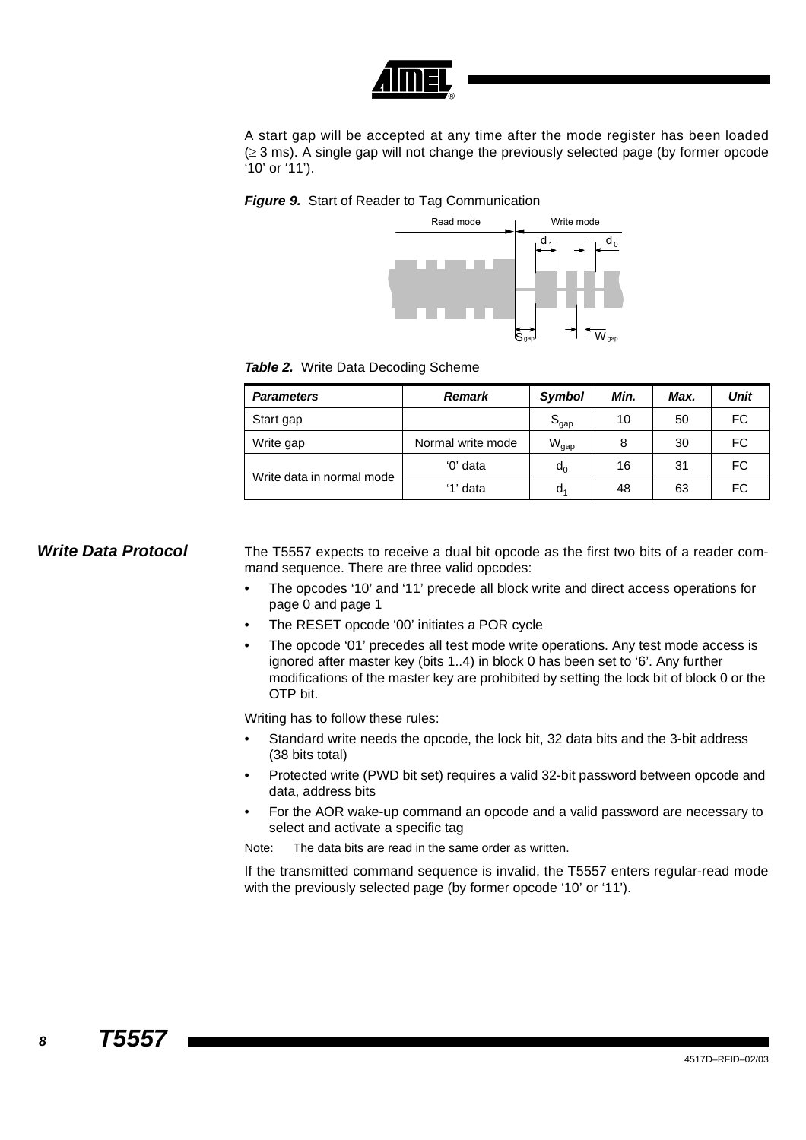

A start gap will be accepted at any time after the mode register has been loaded  $(\geq 3 \text{ ms})$ . A single gap will not change the previously selected page (by former opcode '10' or '11').

### *Figure 9.* Start of Reader to Tag Communication



### *Table 2.* Write Data Decoding Scheme

| <b>Parameters</b>         | Remark            | Symbol                      | Min. | Max. | Unit      |
|---------------------------|-------------------|-----------------------------|------|------|-----------|
| Start gap                 |                   | $\mathtt{S}_{\mathsf{gap}}$ | 10   | 50   | <b>FC</b> |
| Write gap                 | Normal write mode | $\mathsf{W}_{\mathsf{gap}}$ | 8    | 30   | FC        |
|                           | '0' data          | $d_0$                       | 16   | 31   | FC.       |
| Write data in normal mode | '1' data          | d,                          | 48   | 63   | FC.       |

**Write Data Protocol** The T5557 expects to receive a dual bit opcode as the first two bits of a reader com-

mand sequence. There are three valid opcodes:

- The opcodes '10' and '11' precede all block write and direct access operations for page 0 and page 1
- The RESET opcode '00' initiates a POR cycle
- The opcode '01' precedes all test mode write operations. Any test mode access is ignored after master key (bits 1..4) in block 0 has been set to '6'. Any further modifications of the master key are prohibited by setting the lock bit of block 0 or the OTP bit.

Writing has to follow these rules:

- Standard write needs the opcode, the lock bit, 32 data bits and the 3-bit address (38 bits total)
- Protected write (PWD bit set) requires a valid 32-bit password between opcode and data, address bits
- For the AOR wake-up command an opcode and a valid password are necessary to select and activate a specific tag

Note: The data bits are read in the same order as written.

If the transmitted command sequence is invalid, the T5557 enters regular-read mode with the previously selected page (by former opcode '10' or '11').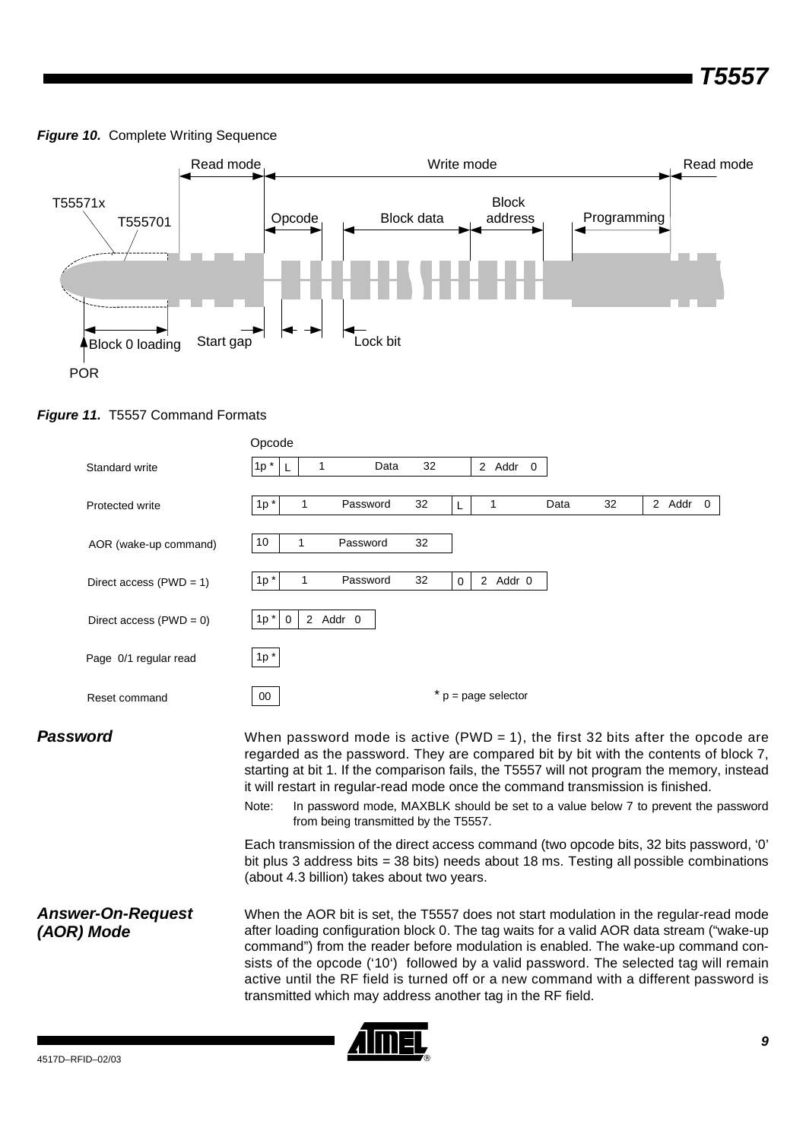### <span id="page-8-1"></span>**Figure 10. Complete Writing Sequence**



<span id="page-8-0"></span>



**Password** When password mode is active (PWD = 1), the first 32 bits after the opcode are regarded as the password. They are compared bit by bit with the contents of block 7, starting at bit 1. If the comparison fails, the T5557 will not program the memory, instead it will restart in regular-read mode once the command transmission is finished.

> Note: In password mode, MAXBLK should be set to a value below 7 to prevent the password from being transmitted by the T5557.

> Each transmission of the direct access command (two opcode bits, 32 bits password, '0' bit plus 3 address bits = 38 bits) needs about 18 ms. Testing all possible combinations (about 4.3 billion) takes about two years.

*Answer-On-Request (AOR) Mode* When the AOR bit is set, the T5557 does not start modulation in the regular-read mode after loading configuration block 0. The tag waits for a valid AOR data stream ("wake-up command") from the reader before modulation is enabled. The wake-up command consists of the opcode ('10') followed by a valid password. The selected tag will remain active until the RF field is turned off or a new command with a different password is transmitted which may address another tag in the RF field.

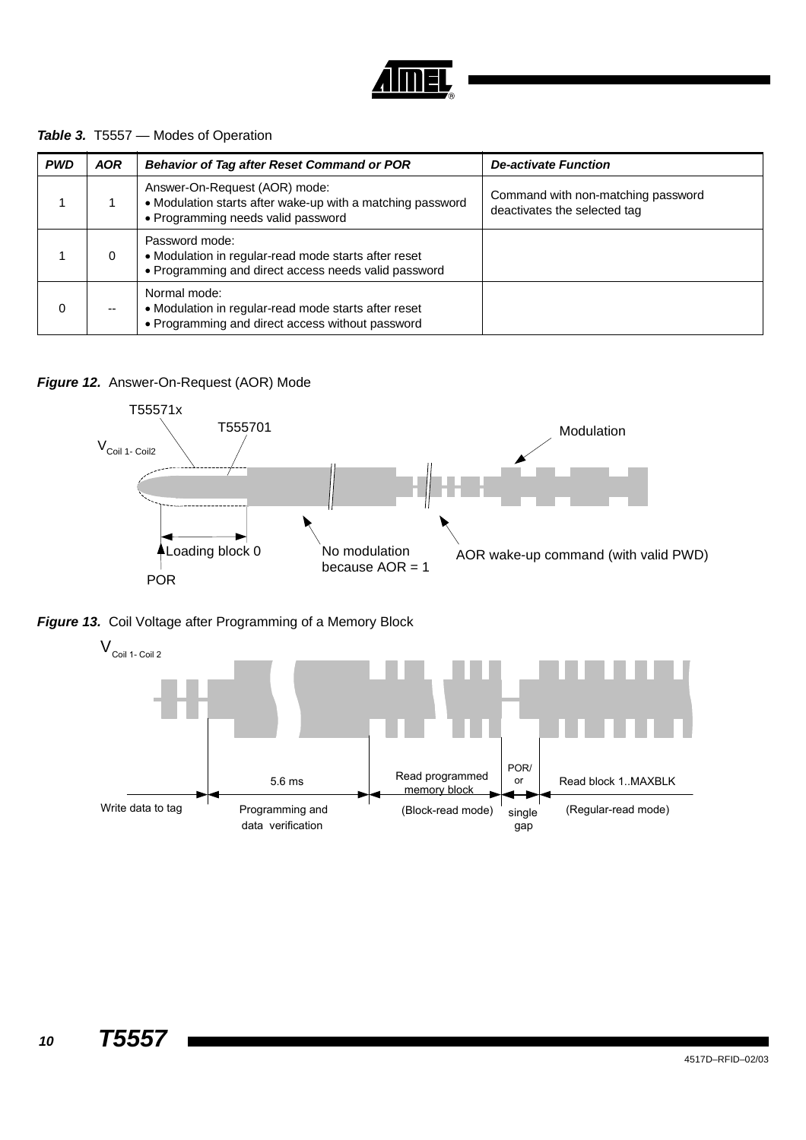

## *Table 3.* T5557 — Modes of Operation

| <b>PWD</b> | <b>AOR</b> | Behavior of Tag after Reset Command or POR                                                                                        | <b>De-activate Function</b>                                        |
|------------|------------|-----------------------------------------------------------------------------------------------------------------------------------|--------------------------------------------------------------------|
|            |            | Answer-On-Request (AOR) mode:<br>• Modulation starts after wake-up with a matching password<br>• Programming needs valid password | Command with non-matching password<br>deactivates the selected tag |
|            | 0          | Password mode:<br>• Modulation in regular-read mode starts after reset<br>• Programming and direct access needs valid password    |                                                                    |
|            | --         | Normal mode:<br>• Modulation in regular-read mode starts after reset<br>• Programming and direct access without password          |                                                                    |

## *Figure 12.* Answer-On-Request (AOR) Mode



<span id="page-9-0"></span>

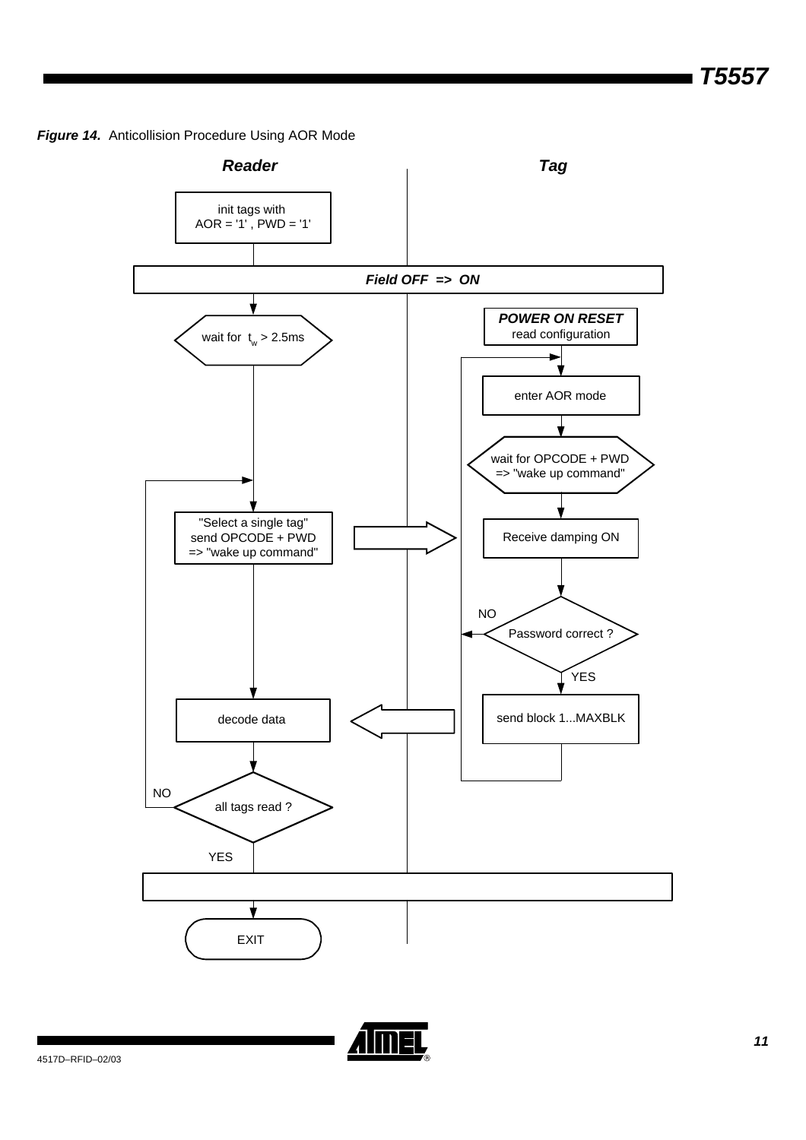*Figure 14.* Anticollision Procedure Using AOR Mode



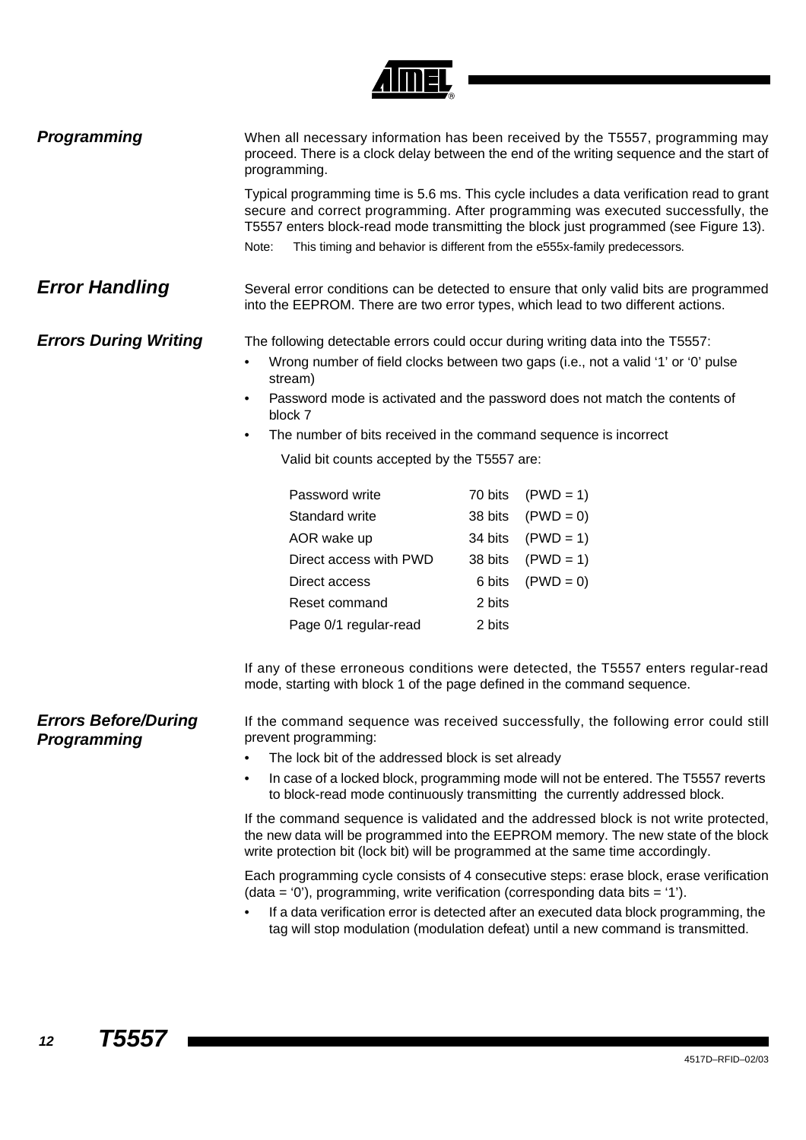

| Programming                                |                | programming.                                                                               |         | When all necessary information has been received by the T5557, programming may<br>proceed. There is a clock delay between the end of the writing sequence and the start of                                                                                            |
|--------------------------------------------|----------------|--------------------------------------------------------------------------------------------|---------|-----------------------------------------------------------------------------------------------------------------------------------------------------------------------------------------------------------------------------------------------------------------------|
|                                            |                |                                                                                            |         | Typical programming time is 5.6 ms. This cycle includes a data verification read to grant<br>secure and correct programming. After programming was executed successfully, the<br>T5557 enters block-read mode transmitting the block just programmed (see Figure 13). |
|                                            | Note:          |                                                                                            |         | This timing and behavior is different from the e555x-family predecessors.                                                                                                                                                                                             |
| <b>Error Handling</b>                      |                |                                                                                            |         | Several error conditions can be detected to ensure that only valid bits are programmed<br>into the EEPROM. There are two error types, which lead to two different actions.                                                                                            |
| <b>Errors During Writing</b>               | $\bullet$<br>٠ | stream)<br>block 7                                                                         |         | The following detectable errors could occur during writing data into the T5557:<br>Wrong number of field clocks between two gaps (i.e., not a valid '1' or '0' pulse<br>Password mode is activated and the password does not match the contents of                    |
|                                            | $\bullet$      | The number of bits received in the command sequence is incorrect                           |         |                                                                                                                                                                                                                                                                       |
|                                            |                | Valid bit counts accepted by the T5557 are:                                                |         |                                                                                                                                                                                                                                                                       |
|                                            |                | Password write                                                                             | 70 bits | $(PWD = 1)$                                                                                                                                                                                                                                                           |
|                                            |                | Standard write                                                                             | 38 bits | $(PWD = 0)$                                                                                                                                                                                                                                                           |
|                                            |                | AOR wake up                                                                                | 34 bits | $(PWD = 1)$                                                                                                                                                                                                                                                           |
|                                            |                | Direct access with PWD                                                                     | 38 bits | $(PWD = 1)$                                                                                                                                                                                                                                                           |
|                                            |                | Direct access                                                                              | 6 bits  | $(PWD = 0)$                                                                                                                                                                                                                                                           |
|                                            |                | Reset command                                                                              | 2 bits  |                                                                                                                                                                                                                                                                       |
|                                            |                | Page 0/1 regular-read                                                                      | 2 bits  |                                                                                                                                                                                                                                                                       |
|                                            |                |                                                                                            |         | If any of these erroneous conditions were detected, the T5557 enters regular-read<br>mode, starting with block 1 of the page defined in the command sequence.                                                                                                         |
| <b>Errors Before/During</b><br>Programming |                | prevent programming:                                                                       |         | If the command sequence was received successfully, the following error could still                                                                                                                                                                                    |
|                                            |                | The lock bit of the addressed block is set already                                         |         |                                                                                                                                                                                                                                                                       |
|                                            | ٠              |                                                                                            |         | In case of a locked block, programming mode will not be entered. The T5557 reverts<br>to block-read mode continuously transmitting the currently addressed block.                                                                                                     |
|                                            |                |                                                                                            |         | If the command sequence is validated and the addressed block is not write protected,<br>the new data will be programmed into the EEPROM memory. The new state of the block<br>write protection bit (lock bit) will be programmed at the same time accordingly.        |
|                                            |                | (data = $\theta$ ), programming, write verification (corresponding data bits = $\theta$ ). |         | Each programming cycle consists of 4 consecutive steps: erase block, erase verification                                                                                                                                                                               |
|                                            |                |                                                                                            |         | If a data verification error is detected after an executed data block programming, the<br>tag will stop modulation (modulation defeat) until a new command is transmitted.                                                                                            |
|                                            |                |                                                                                            |         |                                                                                                                                                                                                                                                                       |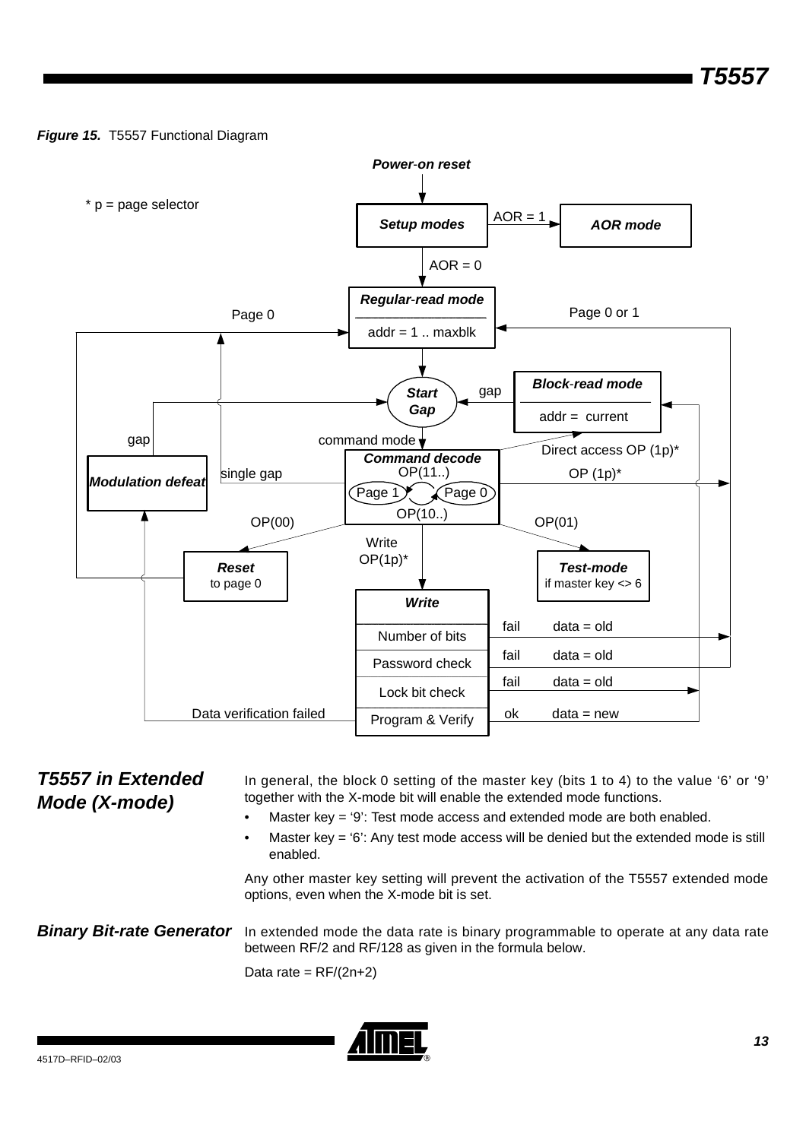## *Figure 15.* T5557 Functional Diagram



*T5557 in Extended Mode (X-mode)* In general, the block 0 setting of the master key (bits 1 to 4) to the value '6' or '9' together with the X-mode bit will enable the extended mode functions. Master key = '9': Test mode access and extended mode are both enabled. Master key  $=$  '6': Any test mode access will be denied but the extended mode is still enabled. Any other master key setting will prevent the activation of the T5557 extended mode options, even when the X-mode bit is set. **Binary Bit-rate Generator** In extended mode the data rate is binary programmable to operate at any data rate between RF/2 and RF/128 as given in the formula below. Data rate =  $RF/(2n+2)$ 

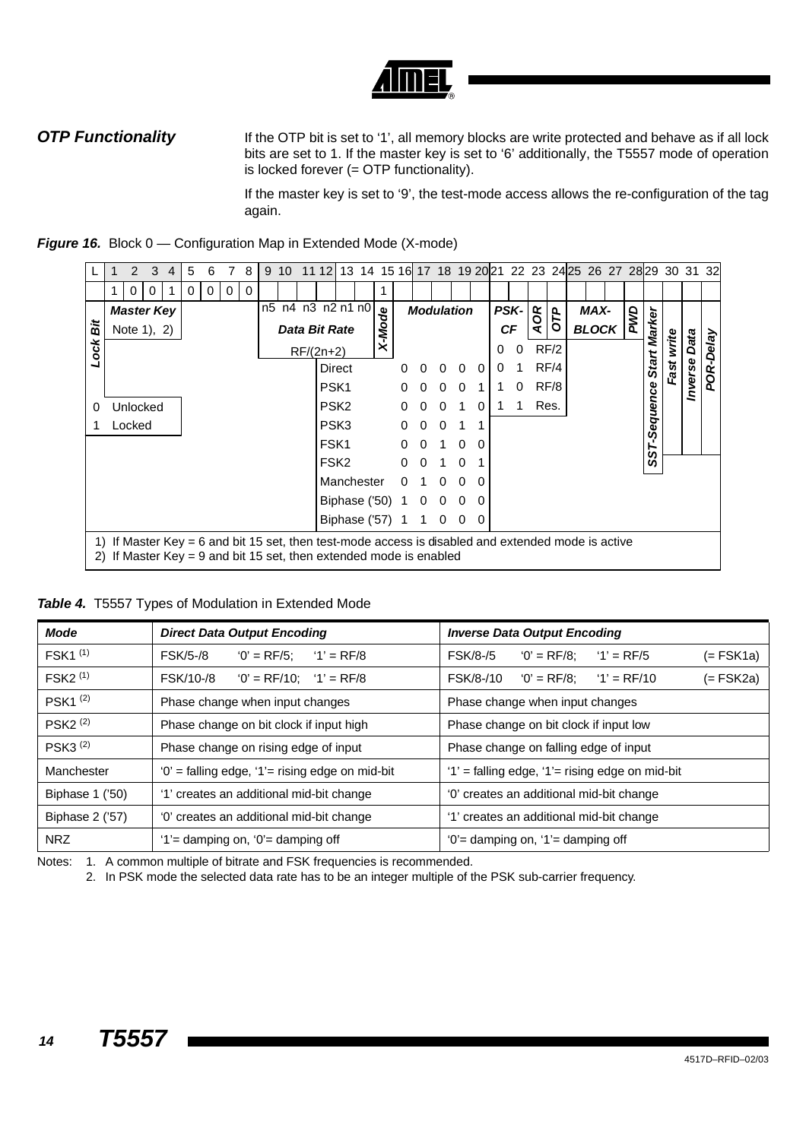**OTP Functionality** If the OTP bit is set to '1', all memory blocks are write protected and behave as if all lock bits are set to 1. If the master key is set to '6' additionally, the T5557 mode of operation is locked forever (= OTP functionality).

> If the master key is set to '9', the test-mode access allows the re-configuration of the tag again.



|      |                                                                                                                                                                                    | 2                 | 3 | 4 | 5 | 6 |   | 8 | 9 | 10 | 11 12l      |                   | 13 14 15 16 17 18 19 20 21 22 23 24 25 26 27 28 29 30 31 32 |      |          |                   |          |          |          |          |             |     |            |              |     |          |                   |                |           |
|------|------------------------------------------------------------------------------------------------------------------------------------------------------------------------------------|-------------------|---|---|---|---|---|---|---|----|-------------|-------------------|-------------------------------------------------------------|------|----------|-------------------|----------|----------|----------|----------|-------------|-----|------------|--------------|-----|----------|-------------------|----------------|-----------|
|      |                                                                                                                                                                                    | O                 |   |   | 0 | 0 | 0 | 0 |   |    |             |                   |                                                             |      |          |                   |          |          |          |          |             |     |            |              |     |          |                   |                |           |
|      |                                                                                                                                                                                    | <b>Master Key</b> |   |   |   |   |   |   |   |    |             | n5 n4 n3 n2 n1 n0 |                                                             | 응    |          | <b>Modulation</b> |          |          |          |          | <b>PSK-</b> | AOR | <b>DTD</b> | MAX-         | BWD |          |                   |                |           |
| ä    |                                                                                                                                                                                    | Note 1), 2)       |   |   |   |   |   |   |   |    |             | Data Bit Rate     |                                                             | X-Mo |          |                   |          |          |          |          | <b>CF</b>   |     |            | <b>BLOCK</b> |     | Marker   |                   |                |           |
| Lock |                                                                                                                                                                                    |                   |   |   |   |   |   |   |   |    | $RF/(2n+2)$ |                   |                                                             |      |          |                   |          |          |          | 0        | 0           |     | RF/2       |              |     |          | write             | Data           | POR-Delay |
|      |                                                                                                                                                                                    |                   |   |   |   |   |   |   |   |    |             | Direct            |                                                             |      | 0        |                   | 0        | $\Omega$ | $\Omega$ | $\Omega$ |             |     | RF/4       |              |     | Start    | Fast <sup>-</sup> | <b>Inverse</b> |           |
|      |                                                                                                                                                                                    |                   |   |   |   |   |   |   |   |    |             | PSK <sub>1</sub>  |                                                             |      | 0        |                   | 0        | $\Omega$ |          |          | 0           |     | RF/8       |              |     |          |                   |                |           |
| 0    |                                                                                                                                                                                    | Unlocked          |   |   |   |   |   |   |   |    |             | PSK <sub>2</sub>  |                                                             |      | 0        | 0                 | 0        | 1        | 0        |          | 1           |     | Res.       |              |     | Sequence |                   |                |           |
|      |                                                                                                                                                                                    | Locked            |   |   |   |   |   |   |   |    |             | PSK <sub>3</sub>  |                                                             |      | 0        | 0                 | $\Omega$ |          | 1        |          |             |     |            |              |     |          |                   |                |           |
|      |                                                                                                                                                                                    |                   |   |   |   |   |   |   |   |    |             | FSK <sub>1</sub>  |                                                             |      | 0        | $\Omega$          |          | $\Omega$ | 0        |          |             |     |            |              |     | 5        |                   |                |           |
|      |                                                                                                                                                                                    |                   |   |   |   |   |   |   |   |    |             | FSK <sub>2</sub>  |                                                             |      | $\Omega$ | $\Omega$          |          | $\Omega$ |          |          |             |     |            |              |     | ທ        |                   |                |           |
|      |                                                                                                                                                                                    |                   |   |   |   |   |   |   |   |    |             | Manchester        |                                                             |      | O        |                   | 0        | $\Omega$ | 0        |          |             |     |            |              |     |          |                   |                |           |
|      |                                                                                                                                                                                    |                   |   |   |   |   |   |   |   |    |             | Biphase ('50)     |                                                             |      |          | 0                 | 0        | 0        | 0        |          |             |     |            |              |     |          |                   |                |           |
|      |                                                                                                                                                                                    |                   |   |   |   |   |   |   |   |    |             | Biphase ('57)     |                                                             |      |          |                   | 0        | 0        | 0        |          |             |     |            |              |     |          |                   |                |           |
|      | If Master Key $= 6$ and bit 15 set, then test-mode access is disabled and extended mode is active<br>1)<br>If Master $Key = 9$ and bit 15 set, then extended mode is enabled<br>2) |                   |   |   |   |   |   |   |   |    |             |                   |                                                             |      |          |                   |          |          |          |          |             |     |            |              |     |          |                   |                |           |

<span id="page-13-0"></span>

| <b>Table 4.</b> T5557 Types of Modulation in Extended Mode |  |  |  |  |  |  |
|------------------------------------------------------------|--|--|--|--|--|--|
|------------------------------------------------------------|--|--|--|--|--|--|

| <b>Mode</b>           | <b>Direct Data Output Encoding</b>                   | <b>Inverse Data Output Encoding</b>                            |
|-----------------------|------------------------------------------------------|----------------------------------------------------------------|
| FSK1 <sup>(1)</sup>   | $'0' = RF/5$ :<br><b>FSK/5-/8</b><br>$'1' = RF/8$    | $'0' = RF/8$ :<br>$'1' = RF/5$<br><b>FSK/8-/5</b><br>(= FSK1a) |
| FSK2 <sup>(1)</sup>   | FSK/10-/8<br>$'0' = RF/10$ : $'1' = RF/8$            | $'0' = RF/8$ :<br>$'1' = RF/10$<br>FSK/8-/10<br>$(=$ FSK2a)    |
| PSK1 <sup>(2)</sup>   | Phase change when input changes                      | Phase change when input changes                                |
| PSK2 <sup>(2)</sup>   | Phase change on bit clock if input high              | Phase change on bit clock if input low                         |
| $PSK3$ <sup>(2)</sup> | Phase change on rising edge of input                 | Phase change on falling edge of input                          |
| Manchester            | $'0'$ = falling edge, $'1'$ = rising edge on mid-bit | $'1'$ = falling edge, $'1'$ = rising edge on mid-bit           |
| Biphase 1 ('50)       | '1' creates an additional mid-bit change             | '0' creates an additional mid-bit change                       |
| Biphase 2 ('57)       | '0' creates an additional mid-bit change             | '1' creates an additional mid-bit change                       |
| NRZ                   | $'1'$ damping on, $'0'$ damping off                  | $'0'$ = damping on, $'1'$ = damping off                        |

Notes: 1. A common multiple of bitrate and FSK frequencies is recommended.

2. In PSK mode the selected data rate has to be an integer multiple of the PSK sub-carrier frequency.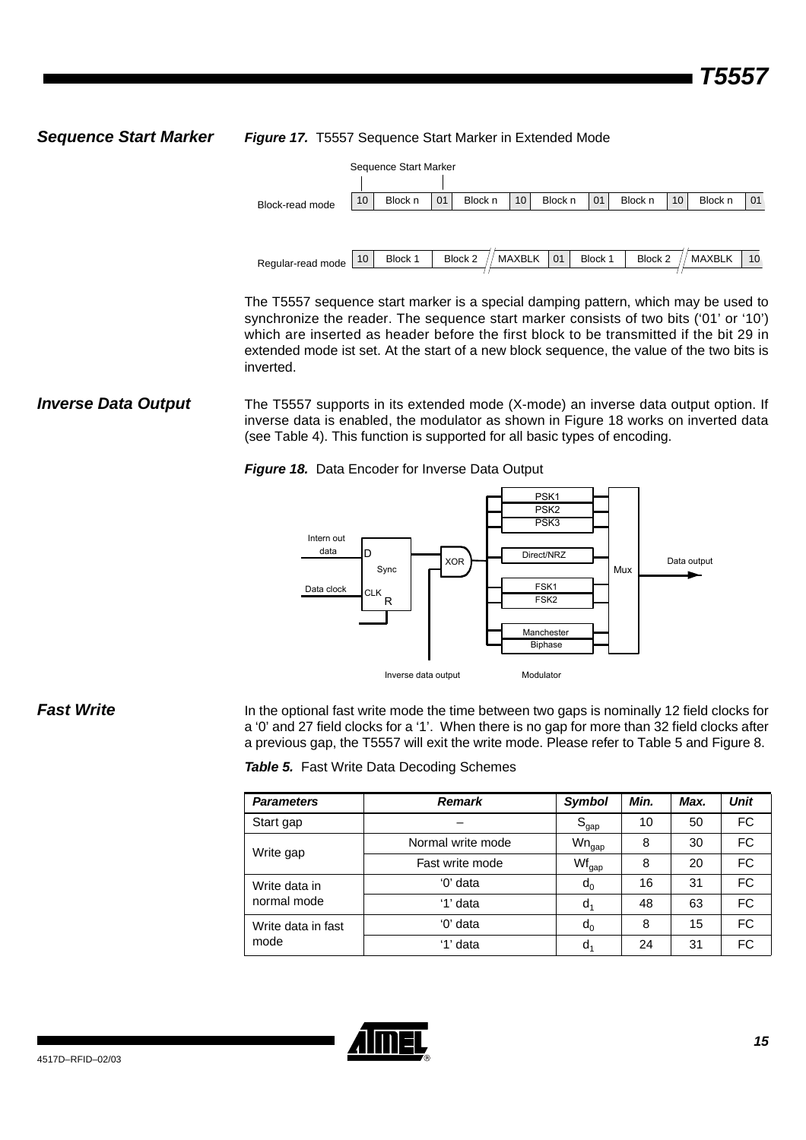**Sequence Start Marker Figure 17.** T5557 Sequence Start Marker in Extended Mode



The T5557 sequence start marker is a special damping pattern, which may be used to synchronize the reader. The sequence start marker consists of two bits ('01' or '10') which are inserted as header before the first block to be transmitted if the bit 29 in extended mode ist set. At the start of a new block sequence, the value of the two bits is inverted.

**Inverse Data Output** The T5557 supports in its extended mode (X-mode) an inverse data output option. If inverse data is enabled, the modulator as shown in [Figure 18](#page-14-1) works on inverted data (see [Table 4](#page-13-0)). This function is supported for all basic types of encoding.

<span id="page-14-1"></span>*Figure 18.* Data Encoder for Inverse Data Output



**Fast Write** In the optional fast write mode the time between two gaps is nominally 12 field clocks for a '0' and 27 field clocks for a '1'. When there is no gap for more than 32 field clocks after a previous gap, the T5557 will exit the write mode. Please refer to [Table 5](#page-14-0) and [Figure 8](#page-6-0).

<span id="page-14-0"></span>

|  | Table 5. Fast Write Data Decoding Schemes |  |  |  |
|--|-------------------------------------------|--|--|--|
|--|-------------------------------------------|--|--|--|

| <b>Parameters</b>  | <b>Remark</b>     | Symbol            | Min. | Max. | <b>Unit</b> |
|--------------------|-------------------|-------------------|------|------|-------------|
| Start gap          |                   | $S_{gap}$         | 10   | 50   | FC          |
| Write gap          | Normal write mode | $Wn_{\text{gap}}$ | 8    | 30   | <b>FC</b>   |
|                    | Fast write mode   | Wf <sub>gap</sub> | 8    | 20   | FC          |
| Write data in      | '0' data          | $d_0$             | 16   | 31   | FC          |
| normal mode        | '1' data          | $d_1$             | 48   | 63   | <b>FC</b>   |
| Write data in fast | '0' data          | $d_0$             | 8    | 15   | <b>FC</b>   |
| mode               | '1' data          | d <sub>1</sub>    | 24   | 31   | FC          |

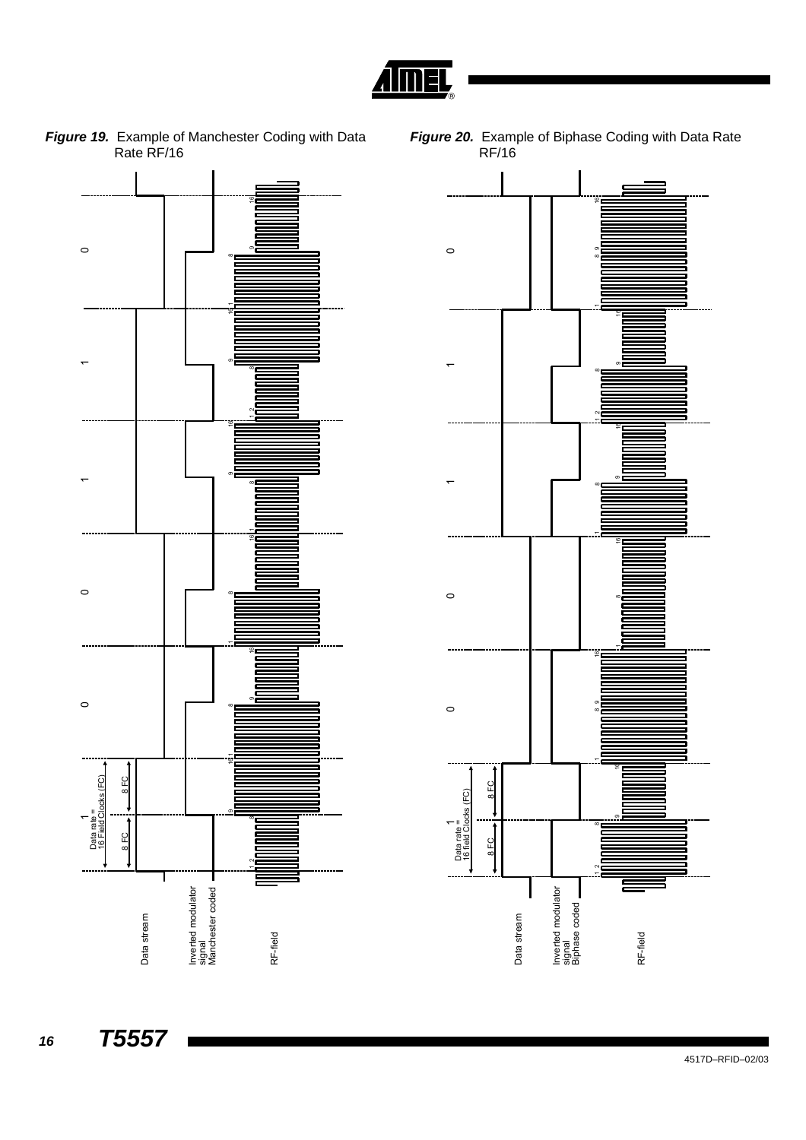

*Figure 19.* Example of Manchester Coding with Data Rate RF/16





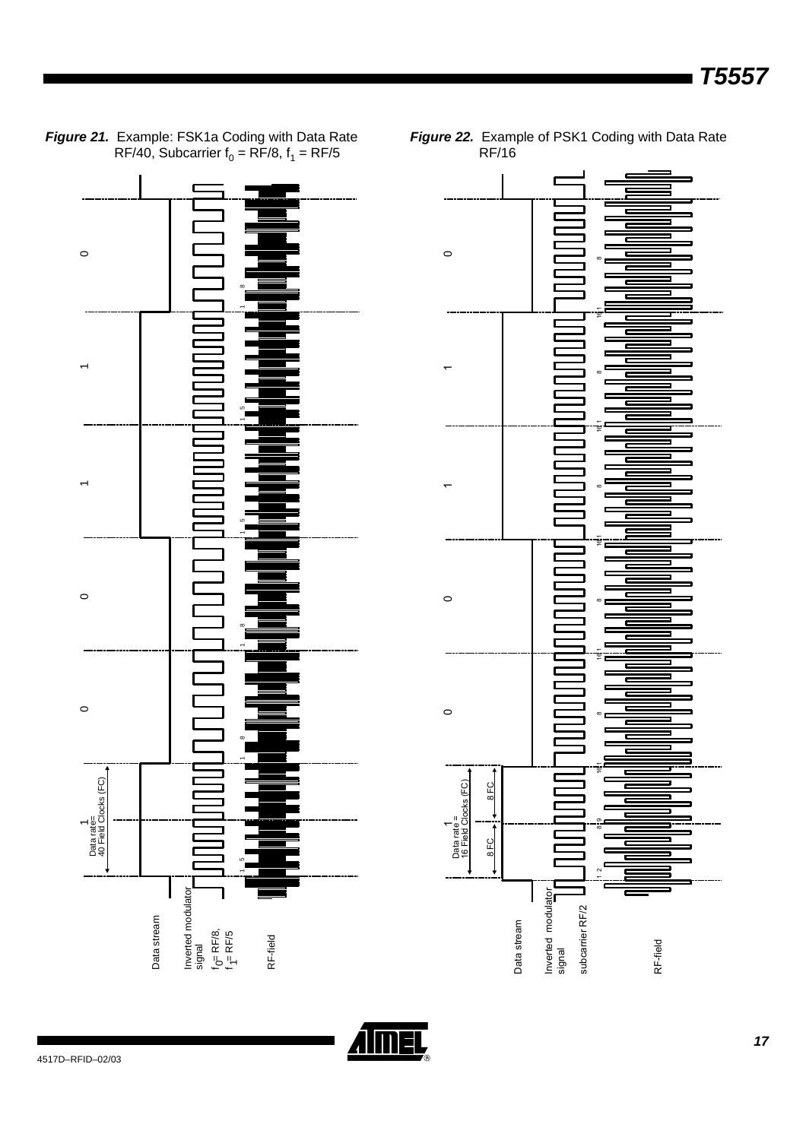

*Figure 21.* Example: FSK1a Coding with Data Rate RF/40, Subcarrier  $f_0 = RF/8$ ,  $f_1 = RF/5$ 

*Figure 22.* Example of PSK1 Coding with Data Rate RF/16

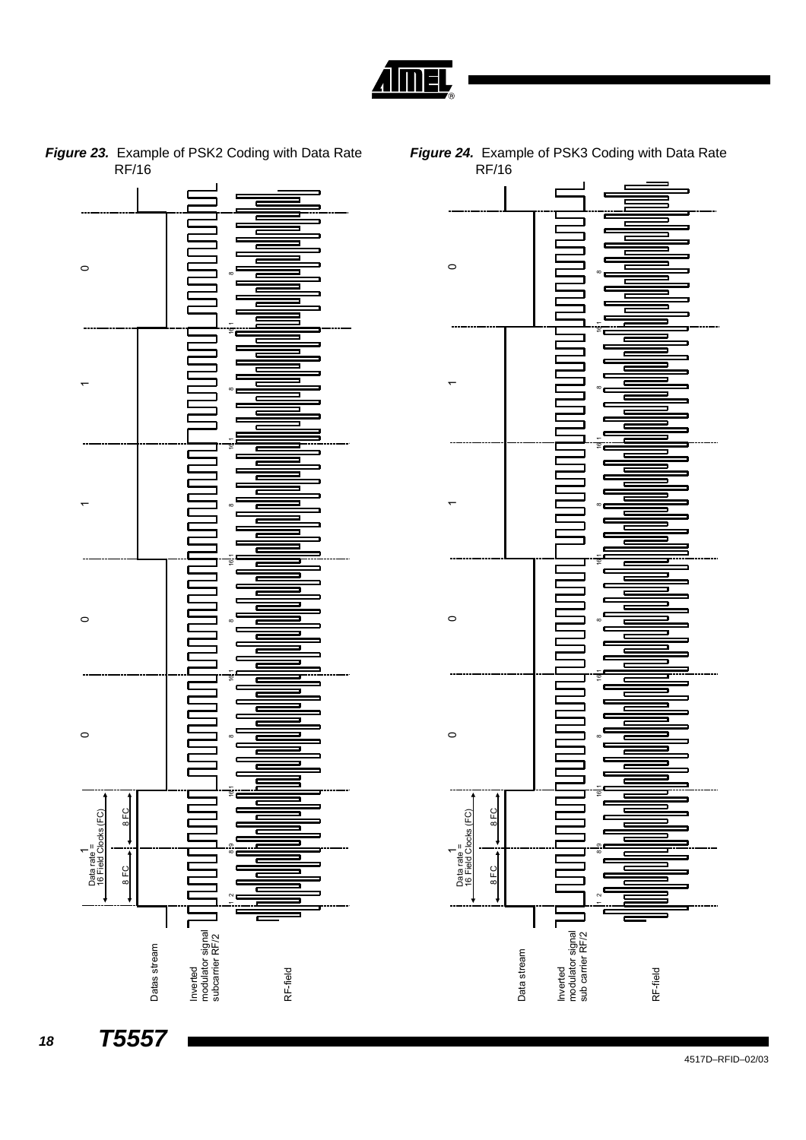



*Figure 23.* Example of PSK2 Coding with Data Rate RF/16

<span id="page-17-0"></span>

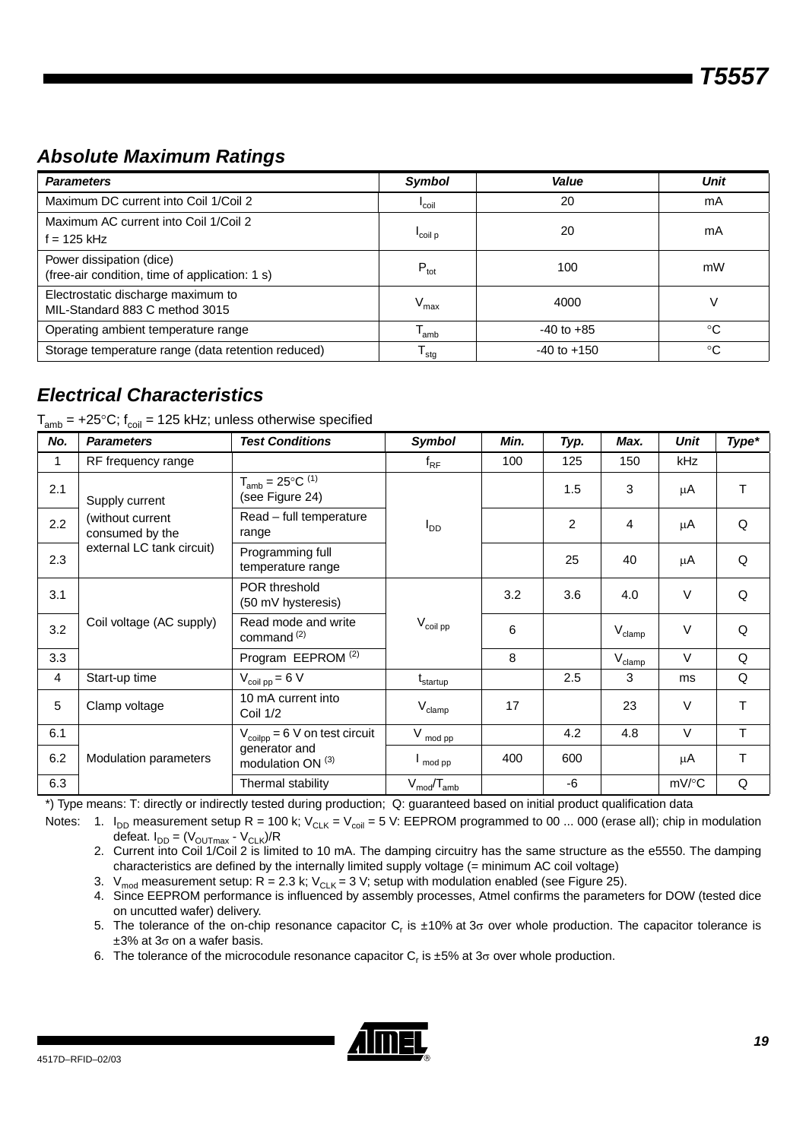# *Absolute Maximum Ratings*

| <b>Parameters</b>                                                          | Symbol                      | Value           | Unit |
|----------------------------------------------------------------------------|-----------------------------|-----------------|------|
| Maximum DC current into Coil 1/Coil 2                                      | <sup>I</sup> coil           | 20              | mA   |
| Maximum AC current into Coil 1/Coil 2<br>$f = 125$ kHz                     | coil p                      | 20              | mA   |
| Power dissipation (dice)<br>(free-air condition, time of application: 1 s) | $P_{\text{tot}}$            | 100             | mW   |
| Electrostatic discharge maximum to<br>MIL-Standard 883 C method 3015       | $\mathsf{V}_{\mathsf{max}}$ | 4000            |      |
| Operating ambient temperature range                                        | l <sub>amb</sub>            | $-40$ to $+85$  | °C   |
| Storage temperature range (data retention reduced)                         | <sup>I</sup> stq            | $-40$ to $+150$ | °C   |

# *Electrical Characteristics*

| $T_{\sf amb}$ = +25°C; f $_{\sf coil}$ = 125 kHz; unless otherwise specified |  |  |  |  |  |
|------------------------------------------------------------------------------|--|--|--|--|--|
|------------------------------------------------------------------------------|--|--|--|--|--|

| No.          | <b>Parameters</b>                                                                                                                                                                                                                                                                                                                                                                                                                                                                                                                                                                                                                                       | <b>Test Conditions</b>                           | Symbol                 | Min. | Typ. | Max. | Unit       | Type*  |
|--------------|---------------------------------------------------------------------------------------------------------------------------------------------------------------------------------------------------------------------------------------------------------------------------------------------------------------------------------------------------------------------------------------------------------------------------------------------------------------------------------------------------------------------------------------------------------------------------------------------------------------------------------------------------------|--------------------------------------------------|------------------------|------|------|------|------------|--------|
| $\mathbf{1}$ | RF frequency range                                                                                                                                                                                                                                                                                                                                                                                                                                                                                                                                                                                                                                      |                                                  | $f_{\sf RF}$           | 100  | 125  | 150  | <b>kHz</b> |        |
| 2.1          | Supply current                                                                                                                                                                                                                                                                                                                                                                                                                                                                                                                                                                                                                                          | $T_{amb} = 25^{\circ}C^{(1)}$<br>(see Figure 24) |                        |      | 1.5  | 3    | μA         | $\top$ |
| 2.2          | (without current<br>consumed by the                                                                                                                                                                                                                                                                                                                                                                                                                                                                                                                                                                                                                     | Read - full temperature<br>range                 | <b>I</b> <sub>DD</sub> |      | 2    | 4    | μA         | Q      |
| 2.3          | external LC tank circuit)<br>Programming full<br>25<br>40<br>μA<br>temperature range<br>POR threshold<br>3.2<br>3.6<br>V<br>4.0<br>(50 mV hysteresis)<br>Read mode and write<br>Coil voltage (AC supply)<br>$\rm V_{coil\ pp}$<br>6<br>V<br>$V_{\text{clamp}}$<br>command <sup>(2)</sup><br>Program EEPROM <sup>(2)</sup><br>8<br>V<br>$V_{\text{clamp}}$<br>2.5<br>3<br>Start-up time<br>$V_{\text{coil pp}} = 6 V$<br>$t_{\text{startup}}$<br>ms<br>10 mA current into<br>17<br>23<br>$\vee$<br>Clamp voltage<br>$V_{\text{clamp}}$<br>Coil 1/2<br>$\vee$<br>4.8<br>4.2<br>$V_{\text{coilpp}} = 6$ V on test circuit<br>$V_{mod pp}$<br>generator and | Q                                                |                        |      |      |      |            |        |
| 3.1          |                                                                                                                                                                                                                                                                                                                                                                                                                                                                                                                                                                                                                                                         |                                                  |                        |      |      |      |            | Q      |
| 3.2          |                                                                                                                                                                                                                                                                                                                                                                                                                                                                                                                                                                                                                                                         |                                                  |                        |      |      |      |            | Q      |
| 3.3          |                                                                                                                                                                                                                                                                                                                                                                                                                                                                                                                                                                                                                                                         |                                                  |                        |      |      |      |            | Q      |
| 4            |                                                                                                                                                                                                                                                                                                                                                                                                                                                                                                                                                                                                                                                         |                                                  |                        |      |      |      |            | Q      |
| 5            |                                                                                                                                                                                                                                                                                                                                                                                                                                                                                                                                                                                                                                                         |                                                  |                        |      |      |      |            | T      |
| 6.1          |                                                                                                                                                                                                                                                                                                                                                                                                                                                                                                                                                                                                                                                         |                                                  |                        |      |      |      |            | T      |
| 6.2          | Modulation parameters                                                                                                                                                                                                                                                                                                                                                                                                                                                                                                                                                                                                                                   | modulation ON <sup>(3)</sup>                     | $\mathsf{I}$ mod pp    | 400  | 600  |      | μA         | T      |
| 6.3          |                                                                                                                                                                                                                                                                                                                                                                                                                                                                                                                                                                                                                                                         | Thermal stability                                | $V_{mod}/T_{amb}$      |      | -6   |      | mV/°C      | Q      |

\*) Type means: T: directly or indirectly tested during production; Q: guaranteed based on initial product qualification data

Notes: 1. I<sub>DD</sub> measurement setup R = 100 k; V<sub>CLK</sub> = V<sub>coil</sub> = 5 V: EEPROM programmed to 00 ... 000 (erase all); chip in modulation defeat.  $I_{DD} = (V_{OUTmax} - V_{CLK})/R$ 

- 2. Current into Coil 1/Coil 2 is limited to 10 mA. The damping circuitry has the same structure as the e5550. The damping characteristics are defined by the internally limited supply voltage (= minimum AC coil voltage)
- 3. V<sub>mod</sub> measurement setup: R = 2.3 k; V<sub>CLK</sub> = 3 V; setup with modulation enabled (see [Figure 25\)](#page-19-0).
- 4. Since EEPROM performance is influenced by assembly processes, Atmel confirms the parameters for DOW (tested dice on uncutted wafer) delivery.
- 5. The tolerance of the on-chip resonance capacitor C<sub>r</sub> is ±10% at 3<sub>0</sub> over whole production. The capacitor tolerance is  $\pm 3\%$  at 3 $\sigma$  on a wafer basis.
- 6. The tolerance of the microcodule resonance capacitor  $C_r$  is  $\pm 5\%$  at 3 $\sigma$  over whole production.

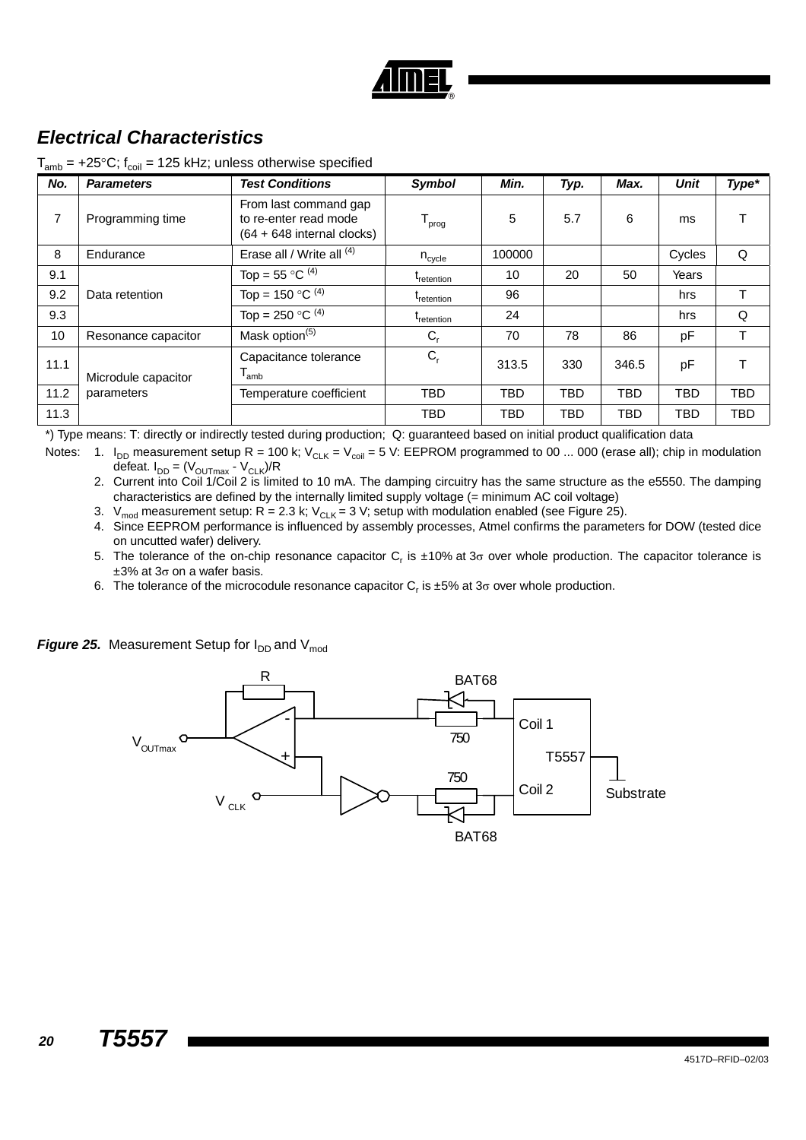

# *Electrical Characteristics*

| No.  | <b>Parameters</b>                                               | <b>Test Conditions</b>                                                         | <b>Symbol</b>                 | Min.       | Typ.       | Max.       | Unit       | Type*      |
|------|-----------------------------------------------------------------|--------------------------------------------------------------------------------|-------------------------------|------------|------------|------------|------------|------------|
| 7    | Programming time                                                | From last command gap<br>to re-enter read mode<br>$(64 + 648$ internal clocks) | ${\mathsf T}_{\mathsf{prog}}$ | 5          | 5.7        | 6          | ms         |            |
| 8    | Endurance                                                       | Erase all / Write all (4)                                                      | $n_{\text{cycle}}$            | 100000     |            |            | Cycles     | Q          |
| 9.1  |                                                                 | Top = $55^{\circ}$ C <sup>(4)</sup>                                            | <sup>L</sup> retention        | 10         | 20         | 50         | Years      |            |
| 9.2  | Top = 150 $\mathrm{^{\circ}C}$ <sup>(4)</sup><br>Data retention |                                                                                | <sup>L</sup> retention        | 96         |            |            | hrs        |            |
| 9.3  |                                                                 | Top = 250 $^{\circ}$ C <sup>(4)</sup>                                          | <sup>L</sup> retention        | 24         |            |            | hrs        | Q          |
| 10   | Resonance capacitor                                             | Mask option <sup>(5)</sup>                                                     | $C_{r}$                       | 70         | 78         | 86         | pF         |            |
| 11.1 | Microdule capacitor                                             | Capacitance tolerance<br>I <sub>amb</sub>                                      | $C_{r}$                       | 313.5      | 330        | 346.5      | рF         |            |
| 11.2 | parameters                                                      | Temperature coefficient                                                        | <b>TBD</b>                    | <b>TBD</b> | <b>TBD</b> | <b>TBD</b> | <b>TBD</b> | <b>TBD</b> |
| 11.3 |                                                                 |                                                                                | <b>TBD</b>                    | TBD        | <b>TBD</b> | <b>TBD</b> | <b>TBD</b> | <b>TBD</b> |

 $T_{amb}$  = +25°C;  $f_{coil}$  = 125 kHz; unless otherwise specified

\*) Type means: T: directly or indirectly tested during production; Q: guaranteed based on initial product qualification data

Notes: 1.  $I_{DD}$  measurement setup R = 100 k;  $V_{CLK} = V_{coil} = 5$  V: EEPROM programmed to 00 ... 000 (erase all); chip in modulation defeat.  $I_{DD} = (V_{OUTmax} - V_{CLK})/R$ 

2. Current into Coil 1/Coil 2 is limited to 10 mA. The damping circuitry has the same structure as the e5550. The damping characteristics are defined by the internally limited supply voltage (= minimum AC coil voltage)

- 3.  $V_{mod}$  measurement setup: R = 2.3 k;  $V_{CLK} = 3 V$ ; setup with modulation enabled (see Figure 25).
- 4. Since EEPROM performance is influenced by assembly processes, Atmel confirms the parameters for DOW (tested dice on uncutted wafer) delivery.
- 5. The tolerance of the on-chip resonance capacitor C<sub>r</sub> is ±10% at 3<sub>0</sub> over whole production. The capacitor tolerance is  $\pm 3\%$  at 3 $\sigma$  on a wafer basis.
- 6. The tolerance of the microcodule resonance capacitor  $C_r$  is  $\pm 5\%$  at 3 $\sigma$  over whole production.

<span id="page-19-0"></span>**Figure 25.** Measurement Setup for  $I_{DD}$  and  $V_{mod}$ 

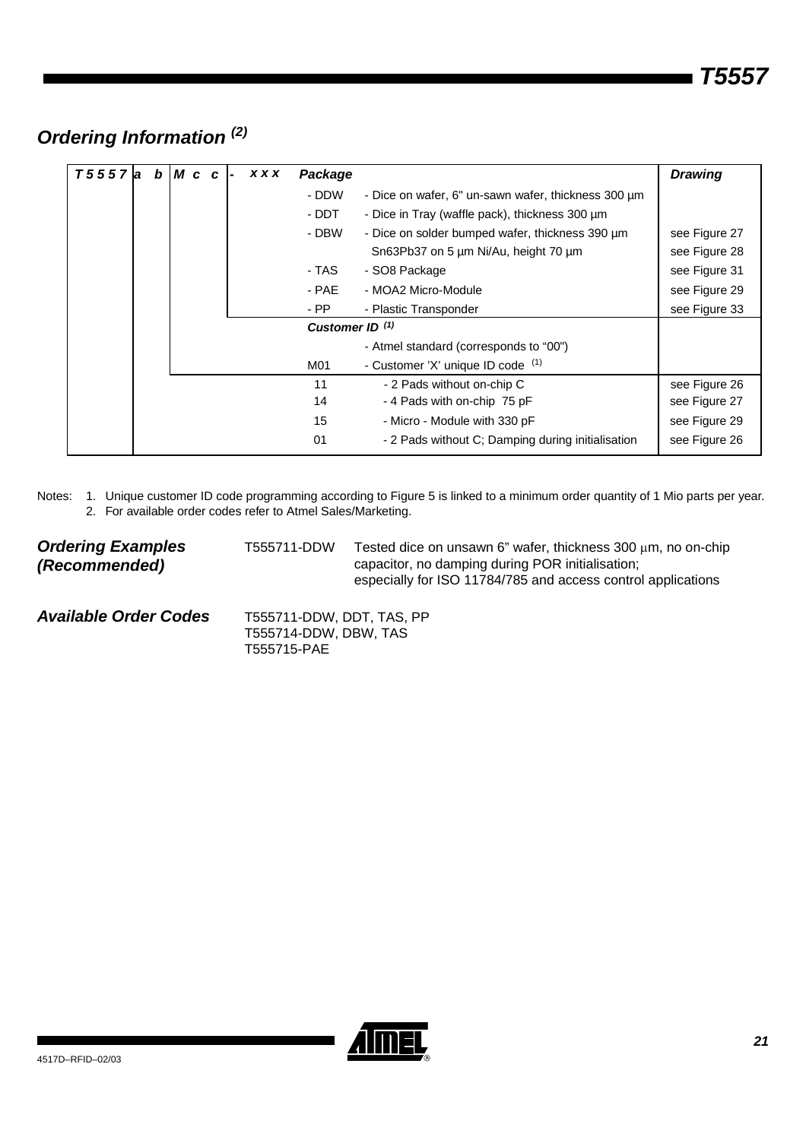# *Ordering Information (2)*

| T5557 | la. | b | IM c c |  | <b>XXX</b> | Package                    |                                                     | <b>Drawing</b> |
|-------|-----|---|--------|--|------------|----------------------------|-----------------------------------------------------|----------------|
|       |     |   |        |  |            | - DDW                      | - Dice on wafer, 6" un-sawn wafer, thickness 300 um |                |
|       |     |   |        |  |            | - DDT                      | - Dice in Tray (waffle pack), thickness 300 um      |                |
|       |     |   |        |  |            | - DBW                      | - Dice on solder bumped wafer, thickness 390 um     | see Figure 27  |
|       |     |   |        |  |            |                            | Sn63Pb37 on 5 µm Ni/Au, height 70 µm                | see Figure 28  |
|       |     |   |        |  |            | - TAS                      | - SO8 Package                                       | see Figure 31  |
|       |     |   |        |  |            | - PAE                      | - MOA2 Micro-Module                                 | see Figure 29  |
|       |     |   |        |  |            | $-$ PP                     | - Plastic Transponder                               | see Figure 33  |
|       |     |   |        |  |            | Customer ID <sup>(1)</sup> |                                                     |                |
|       |     |   |        |  |            |                            | - Atmel standard (corresponds to "00")              |                |
|       |     |   |        |  |            | M01                        | - Customer 'X' unique ID code (1)                   |                |
|       |     |   |        |  |            | 11                         | - 2 Pads without on-chip C                          | see Figure 26  |
|       |     |   |        |  |            | 14                         | - 4 Pads with on-chip 75 pF                         | see Figure 27  |
|       |     |   |        |  |            | 15                         | - Micro - Module with 330 pF                        | see Figure 29  |
|       |     |   |        |  |            | 01                         | - 2 Pads without C; Damping during initialisation   | see Figure 26  |

Notes: 1. Unique customer ID code programming according to Figure 5 is linked to a minimum order quantity of 1 Mio parts per year. 2. For available order codes refer to Atmel Sales/Marketing.

| <b>Ordering Examples</b> | T555711-DDW | Tested dice on unsawn 6" wafer, thickness 300 μm, no on-chip                                                     |
|--------------------------|-------------|------------------------------------------------------------------------------------------------------------------|
| (Recommended)            |             | capacitor, no damping during POR initialisation;<br>especially for ISO 11784/785 and access control applications |
|                          |             |                                                                                                                  |

| <b>Available Order Codes</b> | T555711-DDW, DDT, TAS, PP |
|------------------------------|---------------------------|
|                              | T555714-DDW, DBW, TAS     |
|                              | T555715-PAE               |

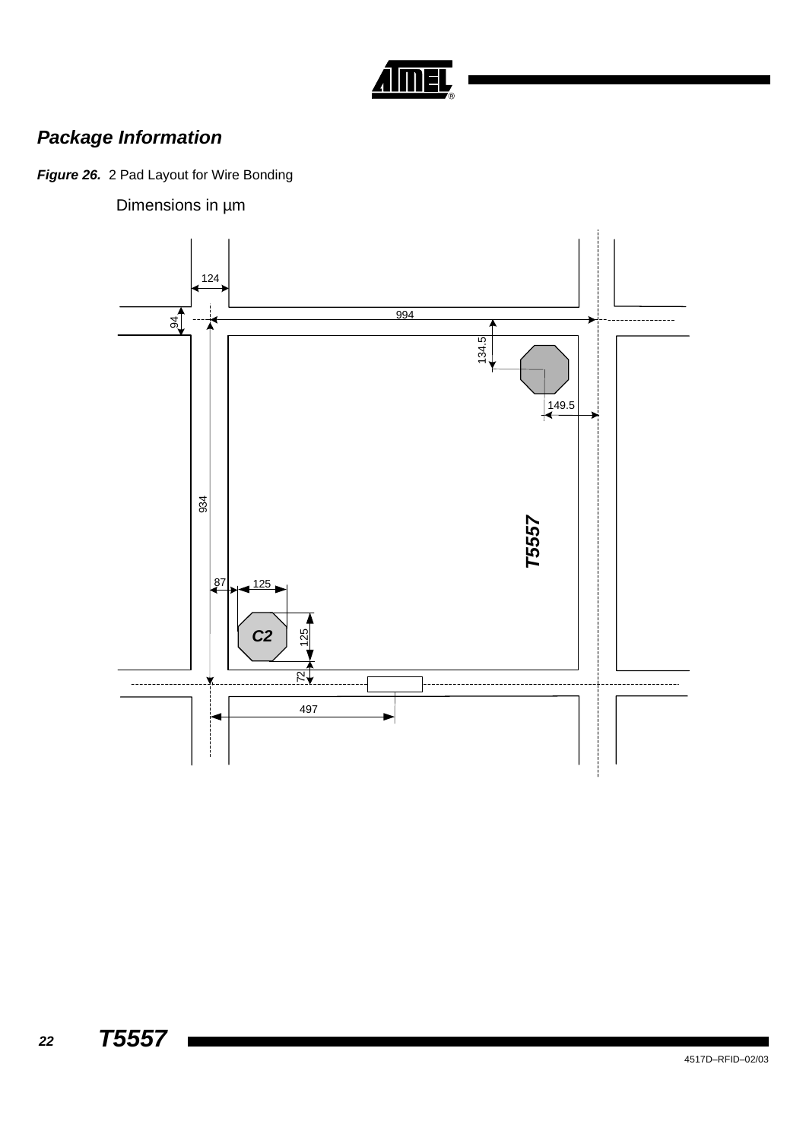

# *Package Information*

*Figure 26.* 2 Pad Layout for Wire Bonding

Dimensions in µm

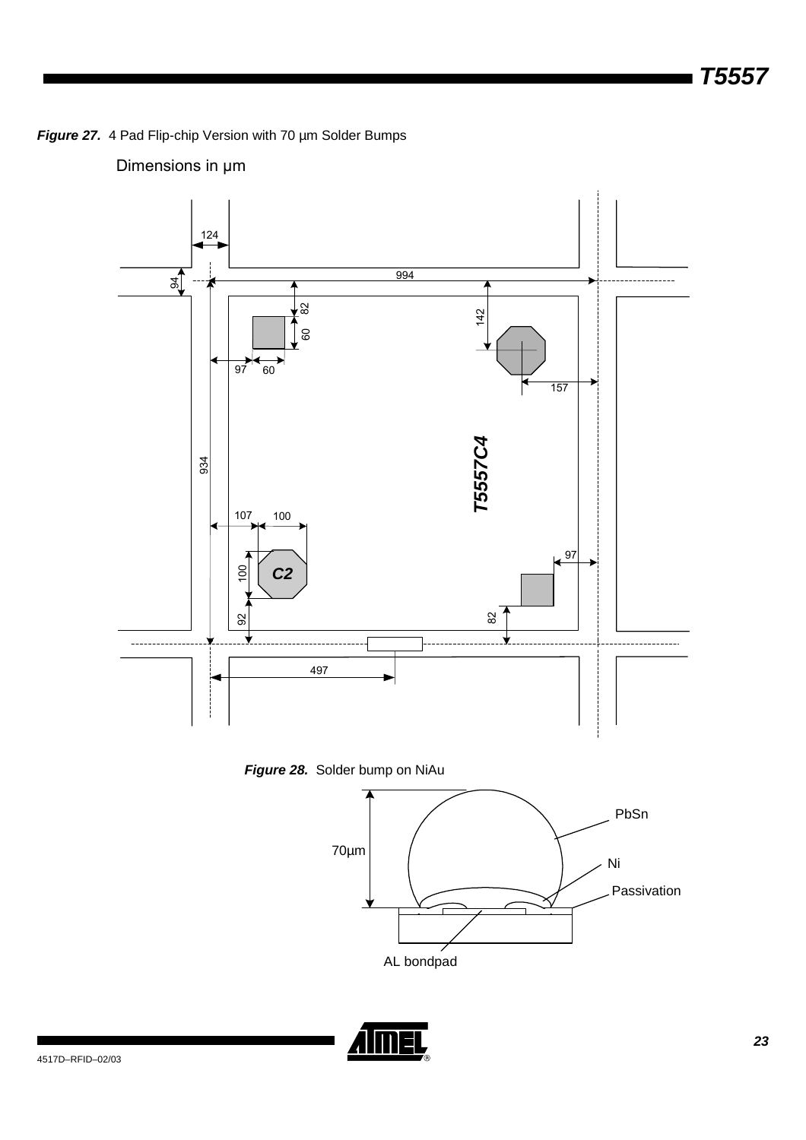*Figure 27.* 4 Pad Flip-chip Version with 70 µm Solder Bumps

## Dimensions in µm





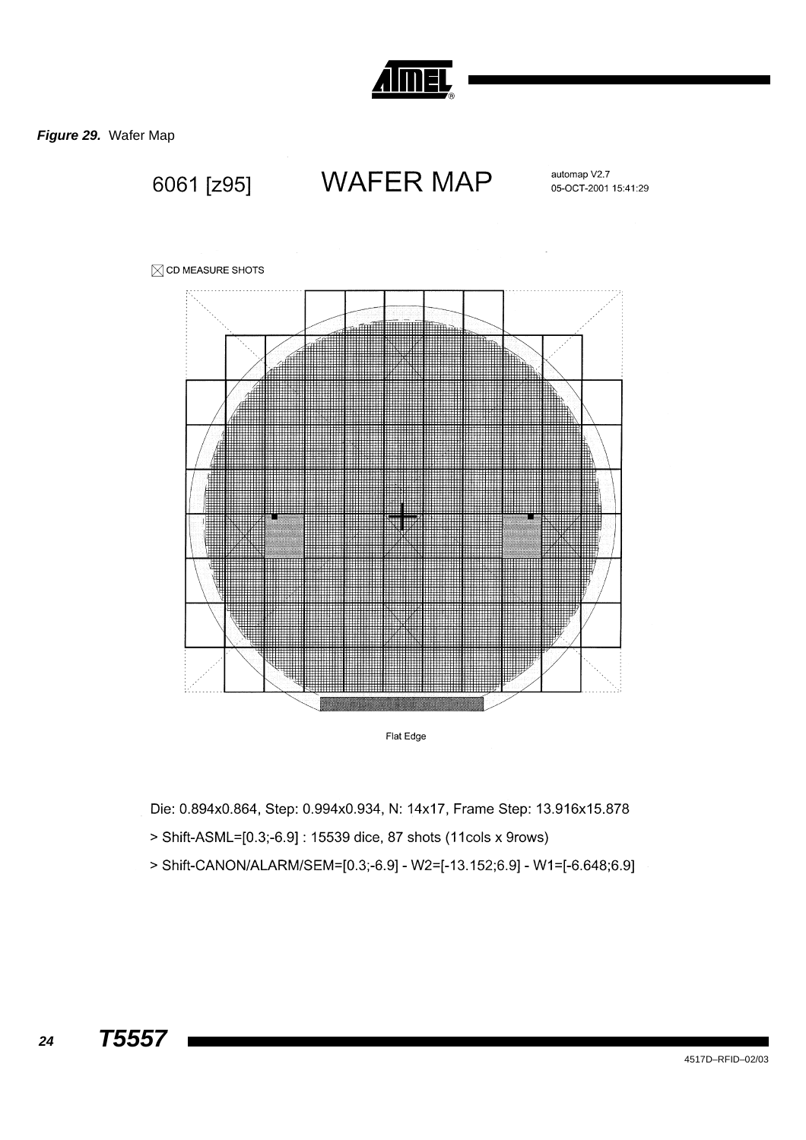

*Figure 29.* Wafer Map



Die: 0.894x0.864, Step: 0.994x0.934, N: 14x17, Frame Step: 13.916x15.878

- > Shift-ASML=[0.3;-6.9] : 15539 dice, 87 shots (11cols x 9rows)
- > Shift-CANON/ALARM/SEM=[0.3;-6.9] W2=[-13.152;6.9] W1=[-6.648;6.9]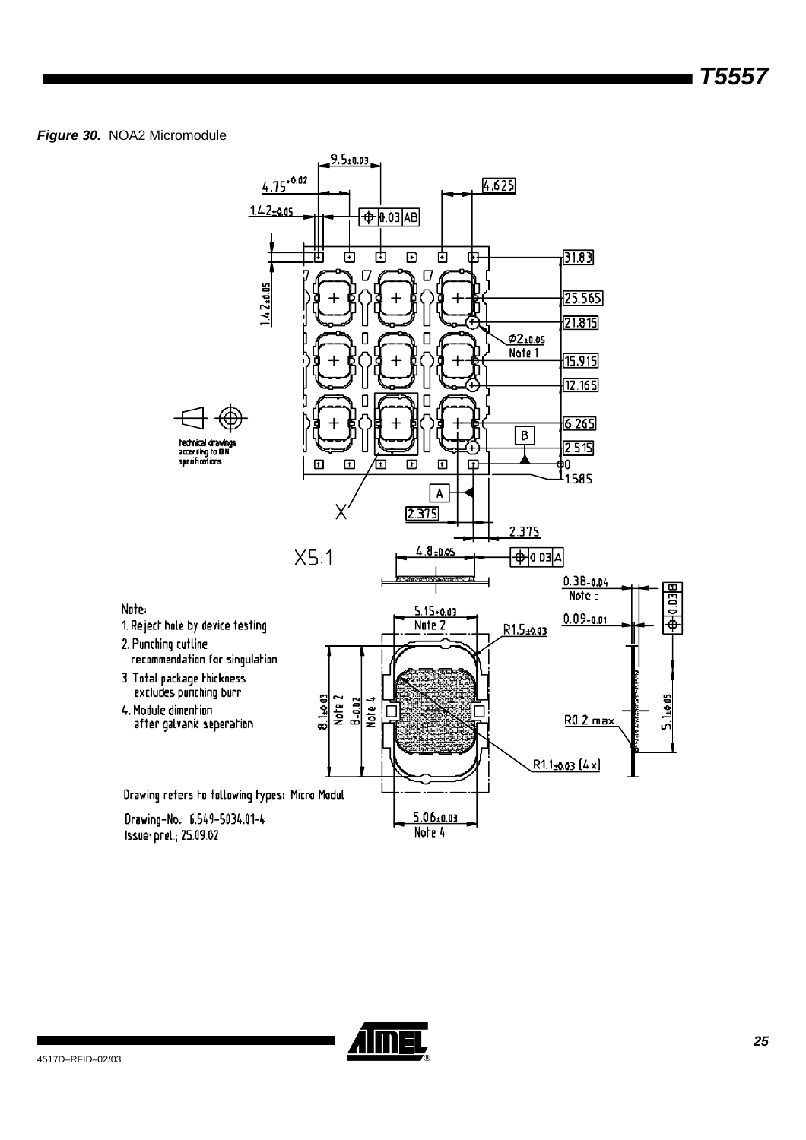### *Figure 30.* NOA2 Micromodule



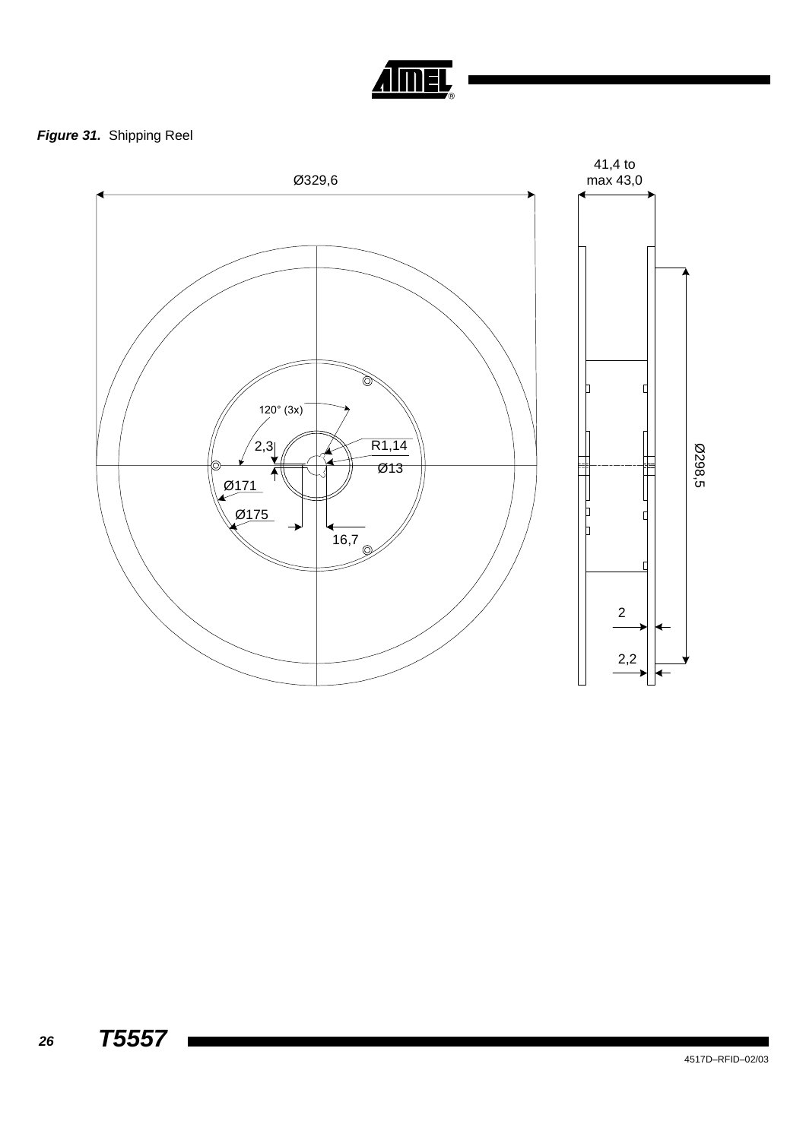

## *Figure 31.* Shipping Reel

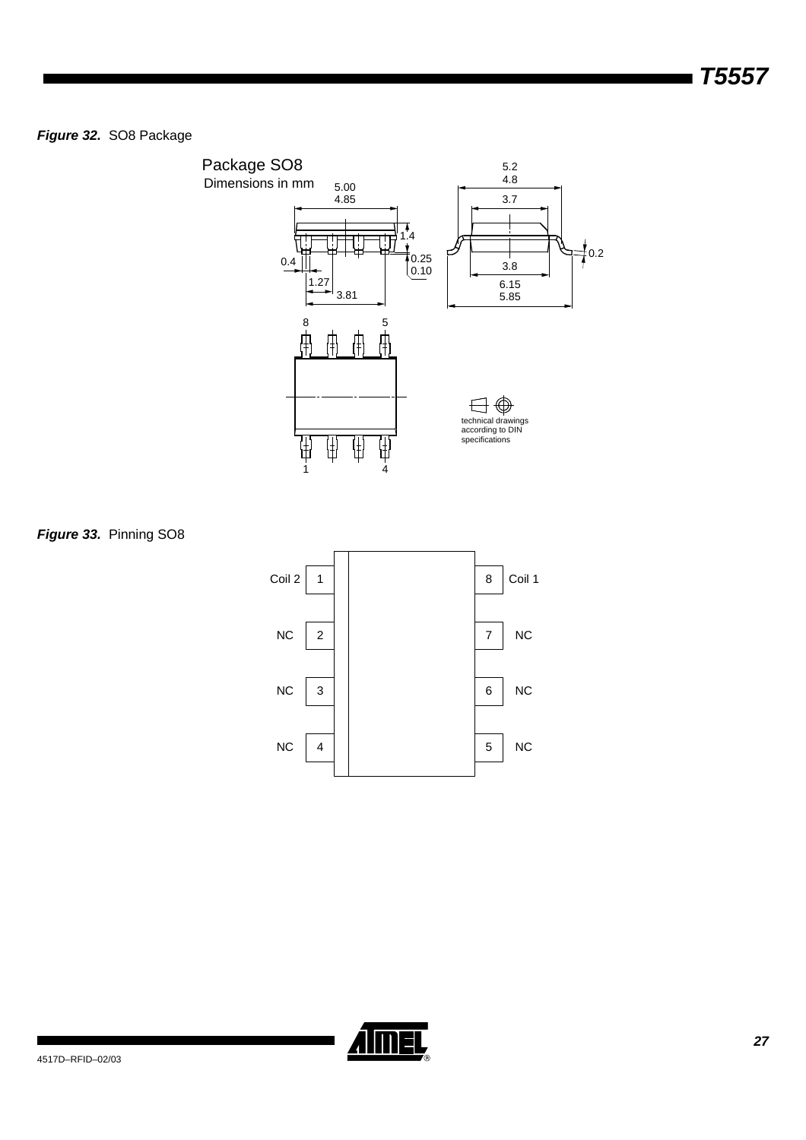*Figure 32.* SO8 Package



*Figure 33.* Pinning SO8



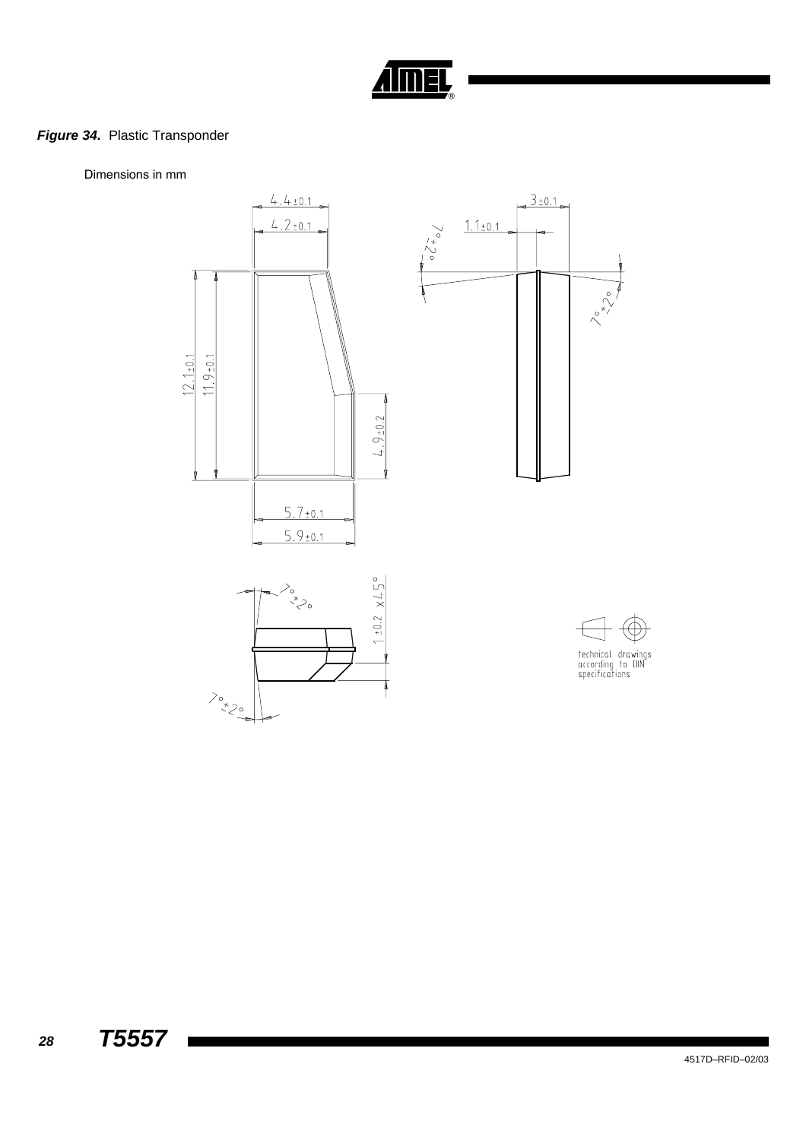

## *Figure 34.* Plastic Transponder

Dimensions in mm

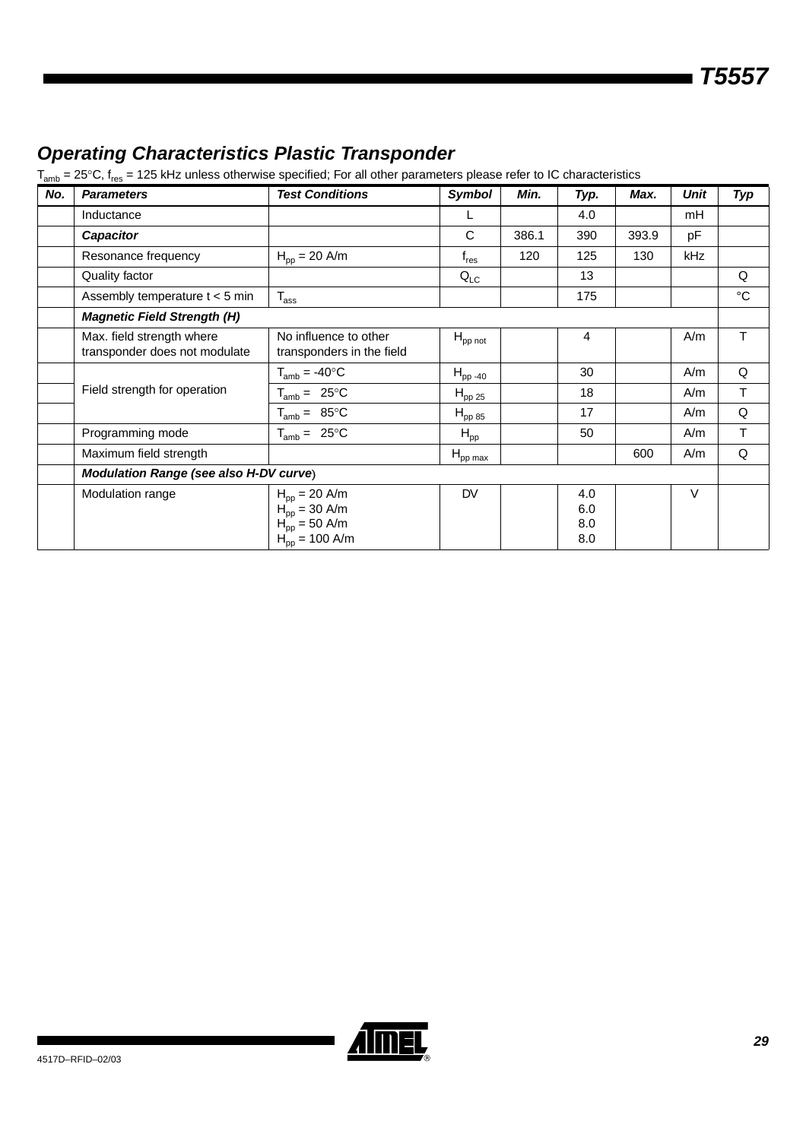## *Operating Characteristics Plastic Transponder*

 $T_{amb}$  = 25°C,  $f_{res}$  = 125 kHz unless otherwise specified; For all other parameters please refer to IC characteristics

| No. | <b>Parameters</b>                                          | <b>Test Conditions</b>                                                                                                         | Symbol                      | Min.  | Typ.                     | Max.  | Unit | <b>Typ</b>  |
|-----|------------------------------------------------------------|--------------------------------------------------------------------------------------------------------------------------------|-----------------------------|-------|--------------------------|-------|------|-------------|
|     | Inductance                                                 |                                                                                                                                |                             |       | 4.0                      |       | mH   |             |
|     | <b>Capacitor</b>                                           |                                                                                                                                | C                           | 386.1 | 390                      | 393.9 | pF   |             |
|     | Resonance frequency                                        | $H_{\text{op}} = 20 \text{ A/m}$                                                                                               | $\mathsf{f}_{\mathsf{res}}$ | 120   | 125                      | 130   | kHz  |             |
|     | Quality factor                                             |                                                                                                                                | $Q_{LC}$                    |       | 13                       |       |      | Q           |
|     | Assembly temperature $t < 5$ min                           | $T_{\rm ass}$                                                                                                                  |                             |       | 175                      |       |      | $^{\circ}C$ |
|     | <b>Magnetic Field Strength (H)</b>                         |                                                                                                                                |                             |       |                          |       |      |             |
|     | Max. field strength where<br>transponder does not modulate | No influence to other<br>transponders in the field                                                                             | $H_{\text{pp not}}$         |       | 4                        |       | A/m  | т           |
|     |                                                            | $T_{amb} = -40$ °C                                                                                                             | $H_{\text{pp-40}}$          |       | 30                       |       | A/m  | Q           |
|     | Field strength for operation                               | $T_{amb} = 25^{\circ}C$                                                                                                        | $H_{\text{pp 25}}$          |       | 18                       |       | A/m  | T.          |
|     |                                                            | $T_{amb} = 85^{\circ}C$                                                                                                        | $H_{\text{pp 85}}$          |       | 17                       |       | A/m  | Q           |
|     | Programming mode                                           | $T_{amb} = 25^{\circ}C$                                                                                                        | $H_{\text{pp}}$             |       | 50                       |       | A/m  | T           |
|     | Maximum field strength                                     |                                                                                                                                | $H_{\text{pp}\,\text{max}}$ |       |                          | 600   | A/m  | Q           |
|     | <b>Modulation Range (see also H-DV curve)</b>              |                                                                                                                                |                             |       |                          |       |      |             |
|     | Modulation range                                           | $H_{pp} = 20$ A/m<br>$H_{\text{pp}} = 30 \text{ A/m}$<br>$H_{\text{pp}} = 50 \text{ A/m}$<br>$H_{\text{pp}} = 100 \text{ A/m}$ | <b>DV</b>                   |       | 4.0<br>6.0<br>8.0<br>8.0 |       | V    |             |